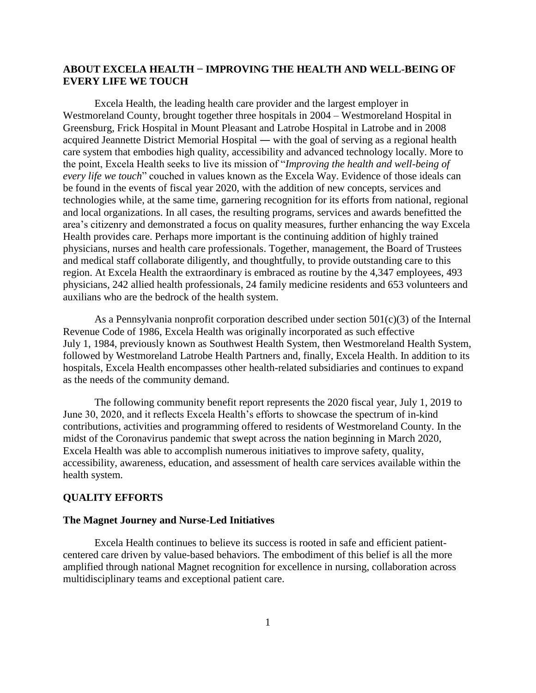# **ABOUT EXCELA HEALTH − IMPROVING THE HEALTH AND WELL-BEING OF EVERY LIFE WE TOUCH**

Excela Health, the leading health care provider and the largest employer in Westmoreland County, brought together three hospitals in 2004 – Westmoreland Hospital in Greensburg, Frick Hospital in Mount Pleasant and Latrobe Hospital in Latrobe and in 2008 acquired Jeannette District Memorial Hospital ― with the goal of serving as a regional health care system that embodies high quality, accessibility and advanced technology locally. More to the point, Excela Health seeks to live its mission of "*Improving the health and well-being of every life we touch*" couched in values known as the Excela Way. Evidence of those ideals can be found in the events of fiscal year 2020, with the addition of new concepts, services and technologies while, at the same time, garnering recognition for its efforts from national, regional and local organizations. In all cases, the resulting programs, services and awards benefitted the area's citizenry and demonstrated a focus on quality measures, further enhancing the way Excela Health provides care. Perhaps more important is the continuing addition of highly trained physicians, nurses and health care professionals. Together, management, the Board of Trustees and medical staff collaborate diligently, and thoughtfully, to provide outstanding care to this region. At Excela Health the extraordinary is embraced as routine by the 4,347 employees, 493 physicians, 242 allied health professionals, 24 family medicine residents and 653 volunteers and auxilians who are the bedrock of the health system.

As a Pennsylvania nonprofit corporation described under section  $501(c)(3)$  of the Internal Revenue Code of 1986, Excela Health was originally incorporated as such effective July 1, 1984, previously known as Southwest Health System, then Westmoreland Health System, followed by Westmoreland Latrobe Health Partners and, finally, Excela Health. In addition to its hospitals, Excela Health encompasses other health-related subsidiaries and continues to expand as the needs of the community demand.

The following community benefit report represents the 2020 fiscal year, July 1, 2019 to June 30, 2020, and it reflects Excela Health's efforts to showcase the spectrum of in-kind contributions, activities and programming offered to residents of Westmoreland County. In the midst of the Coronavirus pandemic that swept across the nation beginning in March 2020, Excela Health was able to accomplish numerous initiatives to improve safety, quality, accessibility, awareness, education, and assessment of health care services available within the health system.

# **QUALITY EFFORTS**

## **The Magnet Journey and Nurse-Led Initiatives**

Excela Health continues to believe its success is rooted in safe and efficient patientcentered care driven by value-based behaviors. The embodiment of this belief is all the more amplified through national Magnet recognition for excellence in nursing, collaboration across multidisciplinary teams and exceptional patient care.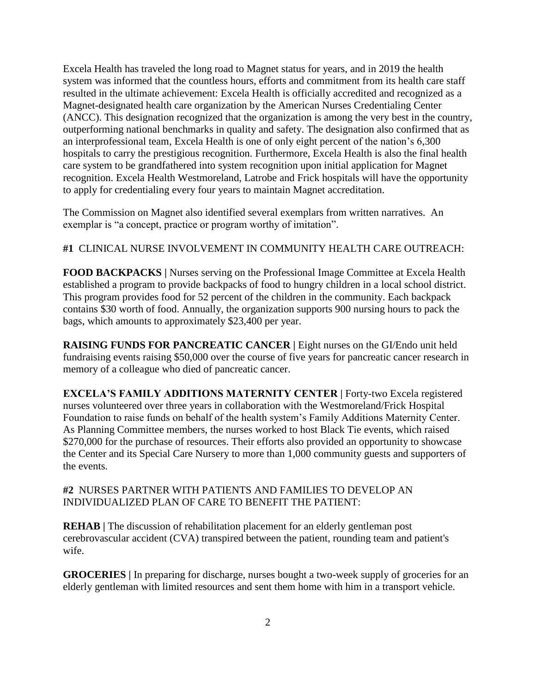Excela Health has traveled the long road to Magnet status for years, and in 2019 the health system was informed that the countless hours, efforts and commitment from its health care staff resulted in the ultimate achievement: Excela Health is officially accredited and recognized as a Magnet-designated health care organization by the American Nurses Credentialing Center (ANCC). This designation recognized that the organization is among the very best in the country, outperforming national benchmarks in quality and safety. The designation also confirmed that as an interprofessional team, Excela Health is one of only eight percent of the nation's 6,300 hospitals to carry the prestigious recognition. Furthermore, Excela Health is also the final health care system to be grandfathered into system recognition upon initial application for Magnet recognition. Excela Health Westmoreland, Latrobe and Frick hospitals will have the opportunity to apply for credentialing every four years to maintain Magnet accreditation.

The Commission on Magnet also identified several exemplars from written narratives. An exemplar is "a concept, practice or program worthy of imitation".

**#1** CLINICAL NURSE INVOLVEMENT IN COMMUNITY HEALTH CARE OUTREACH:

**FOOD BACKPACKS** | Nurses serving on the Professional Image Committee at Excela Health established a program to provide backpacks of food to hungry children in a local school district. This program provides food for 52 percent of the children in the community. Each backpack contains \$30 worth of food. Annually, the organization supports 900 nursing hours to pack the bags, which amounts to approximately \$23,400 per year.

**RAISING FUNDS FOR PANCREATIC CANCER | Eight nurses on the GI/Endo unit held** fundraising events raising \$50,000 over the course of five years for pancreatic cancer research in memory of a colleague who died of pancreatic cancer.

**EXCELA'S FAMILY ADDITIONS MATERNITY CENTER | Forty-two Excela registered** nurses volunteered over three years in collaboration with the Westmoreland/Frick Hospital Foundation to raise funds on behalf of the health system's Family Additions Maternity Center. As Planning Committee members, the nurses worked to host Black Tie events, which raised \$270,000 for the purchase of resources. Their efforts also provided an opportunity to showcase the Center and its Special Care Nursery to more than 1,000 community guests and supporters of the events.

**#2** NURSES PARTNER WITH PATIENTS AND FAMILIES TO DEVELOP AN INDIVIDUALIZED PLAN OF CARE TO BENEFIT THE PATIENT:

**REHAB** | The discussion of rehabilitation placement for an elderly gentleman post cerebrovascular accident (CVA) transpired between the patient, rounding team and patient's wife.

**GROCERIES** In preparing for discharge, nurses bought a two-week supply of groceries for an elderly gentleman with limited resources and sent them home with him in a transport vehicle.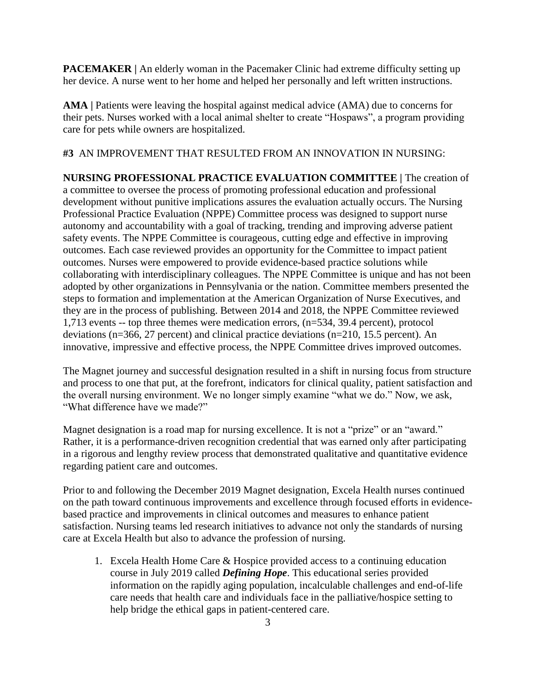**PACEMAKER** | An elderly woman in the Pacemaker Clinic had extreme difficulty setting up her device. A nurse went to her home and helped her personally and left written instructions.

AMA | Patients were leaving the hospital against medical advice (AMA) due to concerns for their pets. Nurses worked with a local animal shelter to create "Hospaws", a program providing care for pets while owners are hospitalized.

**#3** AN IMPROVEMENT THAT RESULTED FROM AN INNOVATION IN NURSING:

**NURSING PROFESSIONAL PRACTICE EVALUATION COMMITTEE |** The creation of a committee to oversee the process of promoting professional education and professional development without punitive implications assures the evaluation actually occurs. The Nursing Professional Practice Evaluation (NPPE) Committee process was designed to support nurse autonomy and accountability with a goal of tracking, trending and improving adverse patient safety events. The NPPE Committee is courageous, cutting edge and effective in improving outcomes. Each case reviewed provides an opportunity for the Committee to impact patient outcomes. Nurses were empowered to provide evidence-based practice solutions while collaborating with interdisciplinary colleagues. The NPPE Committee is unique and has not been adopted by other organizations in Pennsylvania or the nation. Committee members presented the steps to formation and implementation at the American Organization of Nurse Executives, and they are in the process of publishing. Between 2014 and 2018, the NPPE Committee reviewed 1,713 events -- top three themes were medication errors, (n=534, 39.4 percent), protocol deviations (n=366, 27 percent) and clinical practice deviations (n=210, 15.5 percent). An innovative, impressive and effective process, the NPPE Committee drives improved outcomes.

The Magnet journey and successful designation resulted in a shift in nursing focus from structure and process to one that put, at the forefront, indicators for clinical quality, patient satisfaction and the overall nursing environment. We no longer simply examine "what we do." Now, we ask, "What difference have we made?"

Magnet designation is a road map for nursing excellence. It is not a "prize" or an "award." Rather, it is a performance-driven recognition credential that was earned only after participating in a rigorous and lengthy review process that demonstrated qualitative and quantitative evidence regarding patient care and outcomes.

Prior to and following the December 2019 Magnet designation, Excela Health nurses continued on the path toward continuous improvements and excellence through focused efforts in evidencebased practice and improvements in clinical outcomes and measures to enhance patient satisfaction. Nursing teams led research initiatives to advance not only the standards of nursing care at Excela Health but also to advance the profession of nursing.

1. Excela Health Home Care & Hospice provided access to a continuing education course in July 2019 called *Defining Hope*. This educational series provided information on the rapidly aging population, incalculable challenges and end-of-life care needs that health care and individuals face in the palliative/hospice setting to help bridge the ethical gaps in patient-centered care.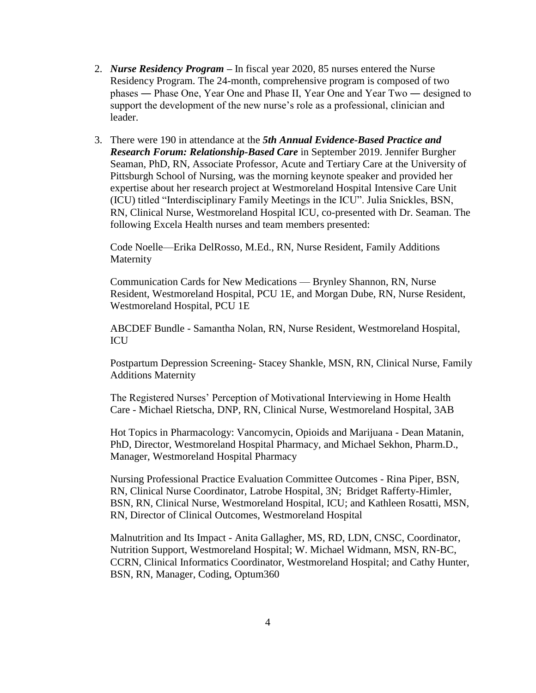- 2. *Nurse Residency Program* **–** In fiscal year 2020, 85 nurses entered the Nurse Residency Program. The 24-month, comprehensive program is composed of two phases ― Phase One, Year One and Phase II, Year One and Year Two ― designed to support the development of the new nurse's role as a professional, clinician and leader.
- 3. There were 190 in attendance at the *5th Annual Evidence-Based Practice and Research Forum: Relationship-Based Care* in September 2019. Jennifer Burgher Seaman, PhD, RN, Associate Professor, Acute and Tertiary Care at the University of Pittsburgh School of Nursing, was the morning keynote speaker and provided her expertise about her research project at Westmoreland Hospital Intensive Care Unit (ICU) titled "Interdisciplinary Family Meetings in the ICU". Julia Snickles, BSN, RN, Clinical Nurse, Westmoreland Hospital ICU, co-presented with Dr. Seaman. The following Excela Health nurses and team members presented:

Code Noelle—Erika DelRosso, M.Ed., RN, Nurse Resident, Family Additions Maternity

Communication Cards for New Medications — Brynley Shannon, RN, Nurse Resident, Westmoreland Hospital, PCU 1E, and Morgan Dube, RN, Nurse Resident, Westmoreland Hospital, PCU 1E

ABCDEF Bundle - Samantha Nolan, RN, Nurse Resident, Westmoreland Hospital, ICU

Postpartum Depression Screening- Stacey Shankle, MSN, RN, Clinical Nurse, Family Additions Maternity

The Registered Nurses' Perception of Motivational Interviewing in Home Health Care - Michael Rietscha, DNP, RN, Clinical Nurse, Westmoreland Hospital, 3AB

Hot Topics in Pharmacology: Vancomycin, Opioids and Marijuana - Dean Matanin, PhD, Director, Westmoreland Hospital Pharmacy, and Michael Sekhon, Pharm.D., Manager, Westmoreland Hospital Pharmacy

Nursing Professional Practice Evaluation Committee Outcomes - Rina Piper, BSN, RN, Clinical Nurse Coordinator, Latrobe Hospital, 3N; Bridget Rafferty-Himler, BSN, RN, Clinical Nurse, Westmoreland Hospital, ICU; and Kathleen Rosatti, MSN, RN, Director of Clinical Outcomes, Westmoreland Hospital

Malnutrition and Its Impact - Anita Gallagher, MS, RD, LDN, CNSC, Coordinator, Nutrition Support, Westmoreland Hospital; W. Michael Widmann, MSN, RN-BC, CCRN, Clinical Informatics Coordinator, Westmoreland Hospital; and Cathy Hunter, BSN, RN, Manager, Coding, Optum360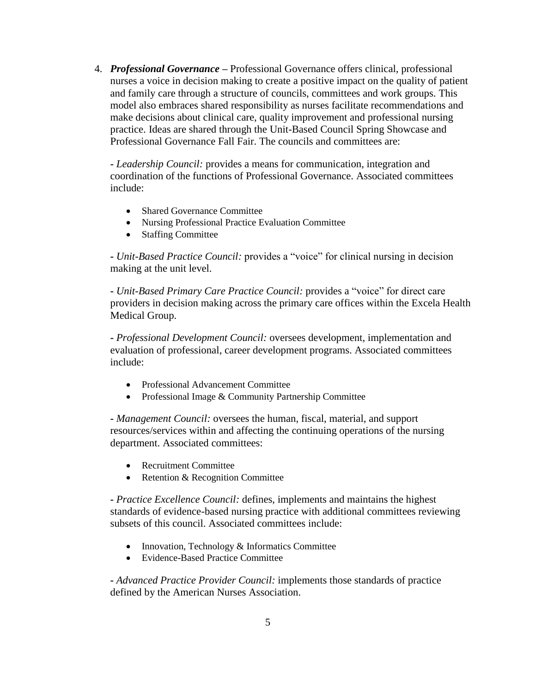4. *Professional Governance* **–** Professional Governance offers clinical, professional nurses a voice in decision making to create a positive impact on the quality of patient and family care through a structure of councils, committees and work groups. This model also embraces shared responsibility as nurses facilitate recommendations and make decisions about clinical care, quality improvement and professional nursing practice. Ideas are shared through the Unit-Based Council Spring Showcase and Professional Governance Fall Fair. The councils and committees are:

**-** *Leadership Council:* provides a means for communication, integration and coordination of the functions of Professional Governance. Associated committees include:

- Shared Governance Committee
- Nursing Professional Practice Evaluation Committee
- Staffing Committee

**-** *Unit-Based Practice Council:* provides a "voice" for clinical nursing in decision making at the unit level.

**-** *Unit-Based Primary Care Practice Council:* provides a "voice" for direct care providers in decision making across the primary care offices within the Excela Health Medical Group.

**-** *Professional Development Council:* oversees development, implementation and evaluation of professional, career development programs. Associated committees include:

- Professional Advancement Committee
- Professional Image & Community Partnership Committee

**-** *Management Council:* oversees the human, fiscal, material, and support resources/services within and affecting the continuing operations of the nursing department. Associated committees:

- Recruitment Committee
- Retention & Recognition Committee

**-** *Practice Excellence Council:* defines, implements and maintains the highest standards of evidence-based nursing practice with additional committees reviewing subsets of this council. Associated committees include:

- Innovation, Technology & Informatics Committee
- Evidence-Based Practice Committee

**-** *Advanced Practice Provider Council:* implements those standards of practice defined by the American Nurses Association.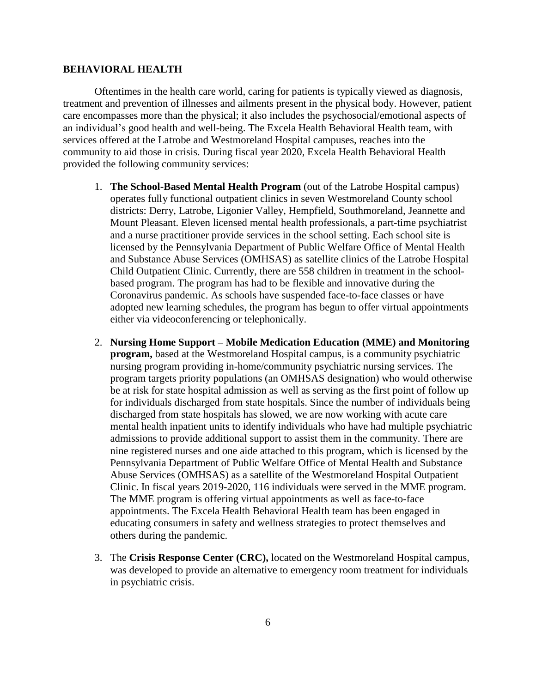# **BEHAVIORAL HEALTH**

Oftentimes in the health care world, caring for patients is typically viewed as diagnosis, treatment and prevention of illnesses and ailments present in the physical body. However, patient care encompasses more than the physical; it also includes the psychosocial/emotional aspects of an individual's good health and well-being. The Excela Health Behavioral Health team, with services offered at the Latrobe and Westmoreland Hospital campuses, reaches into the community to aid those in crisis. During fiscal year 2020, Excela Health Behavioral Health provided the following community services:

- 1. **The School-Based Mental Health Program** (out of the Latrobe Hospital campus) operates fully functional outpatient clinics in seven Westmoreland County school districts: Derry, Latrobe, Ligonier Valley, Hempfield, Southmoreland, Jeannette and Mount Pleasant. Eleven licensed mental health professionals, a part-time psychiatrist and a nurse practitioner provide services in the school setting. Each school site is licensed by the Pennsylvania Department of Public Welfare Office of Mental Health and Substance Abuse Services (OMHSAS) as satellite clinics of the Latrobe Hospital Child Outpatient Clinic. Currently, there are 558 children in treatment in the schoolbased program. The program has had to be flexible and innovative during the Coronavirus pandemic. As schools have suspended face-to-face classes or have adopted new learning schedules, the program has begun to offer virtual appointments either via videoconferencing or telephonically.
- 2. **Nursing Home Support – Mobile Medication Education (MME) and Monitoring program,** based at the Westmoreland Hospital campus, is a community psychiatric nursing program providing in-home/community psychiatric nursing services. The program targets priority populations (an OMHSAS designation) who would otherwise be at risk for state hospital admission as well as serving as the first point of follow up for individuals discharged from state hospitals. Since the number of individuals being discharged from state hospitals has slowed, we are now working with acute care mental health inpatient units to identify individuals who have had multiple psychiatric admissions to provide additional support to assist them in the community. There are nine registered nurses and one aide attached to this program, which is licensed by the Pennsylvania Department of Public Welfare Office of Mental Health and Substance Abuse Services (OMHSAS) as a satellite of the Westmoreland Hospital Outpatient Clinic. In fiscal years 2019-2020, 116 individuals were served in the MME program. The MME program is offering virtual appointments as well as face-to-face appointments. The Excela Health Behavioral Health team has been engaged in educating consumers in safety and wellness strategies to protect themselves and others during the pandemic.
- 3. The **Crisis Response Center (CRC),** located on the Westmoreland Hospital campus, was developed to provide an alternative to emergency room treatment for individuals in psychiatric crisis.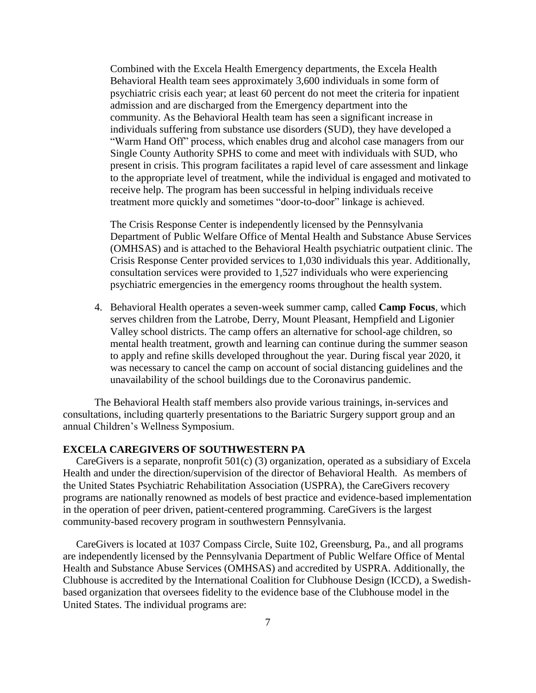Combined with the Excela Health Emergency departments, the Excela Health Behavioral Health team sees approximately 3,600 individuals in some form of psychiatric crisis each year; at least 60 percent do not meet the criteria for inpatient admission and are discharged from the Emergency department into the community. As the Behavioral Health team has seen a significant increase in individuals suffering from substance use disorders (SUD), they have developed a "Warm Hand Off" process, which enables drug and alcohol case managers from our Single County Authority SPHS to come and meet with individuals with SUD, who present in crisis. This program facilitates a rapid level of care assessment and linkage to the appropriate level of treatment, while the individual is engaged and motivated to receive help. The program has been successful in helping individuals receive treatment more quickly and sometimes "door-to-door" linkage is achieved.

The Crisis Response Center is independently licensed by the Pennsylvania Department of Public Welfare Office of Mental Health and Substance Abuse Services (OMHSAS) and is attached to the Behavioral Health psychiatric outpatient clinic. The Crisis Response Center provided services to 1,030 individuals this year. Additionally, consultation services were provided to 1,527 individuals who were experiencing psychiatric emergencies in the emergency rooms throughout the health system.

4. Behavioral Health operates a seven-week summer camp, called **Camp Focus**, which serves children from the Latrobe, Derry, Mount Pleasant, Hempfield and Ligonier Valley school districts. The camp offers an alternative for school-age children, so mental health treatment, growth and learning can continue during the summer season to apply and refine skills developed throughout the year. During fiscal year 2020, it was necessary to cancel the camp on account of social distancing guidelines and the unavailability of the school buildings due to the Coronavirus pandemic.

The Behavioral Health staff members also provide various trainings, in-services and consultations, including quarterly presentations to the Bariatric Surgery support group and an annual Children's Wellness Symposium.

# **EXCELA CAREGIVERS OF SOUTHWESTERN PA**

 CareGivers is a separate, nonprofit 501(c) (3) organization, operated as a subsidiary of Excela Health and under the direction/supervision of the director of Behavioral Health. As members of the United States Psychiatric Rehabilitation Association (USPRA), the CareGivers recovery programs are nationally renowned as models of best practice and evidence-based implementation in the operation of peer driven, patient-centered programming. CareGivers is the largest community-based recovery program in southwestern Pennsylvania.

 CareGivers is located at 1037 Compass Circle, Suite 102, Greensburg, Pa., and all programs are independently licensed by the Pennsylvania Department of Public Welfare Office of Mental Health and Substance Abuse Services (OMHSAS) and accredited by USPRA. Additionally, the Clubhouse is accredited by the International Coalition for Clubhouse Design (ICCD), a Swedishbased organization that oversees fidelity to the evidence base of the Clubhouse model in the United States. The individual programs are: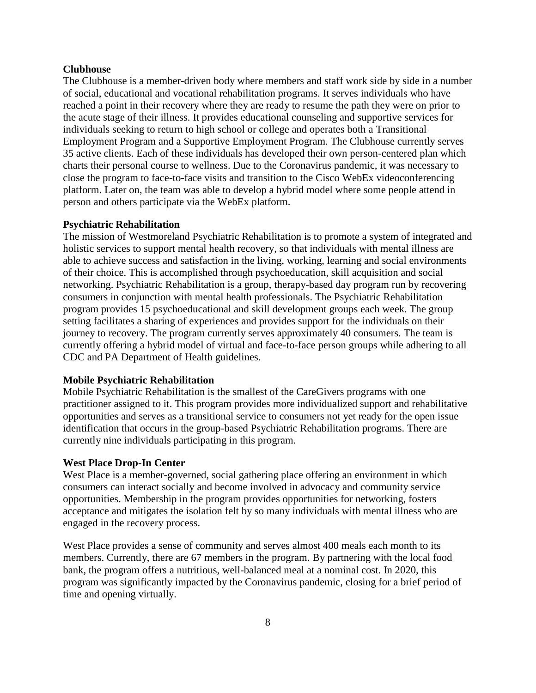# **Clubhouse**

The Clubhouse is a member-driven body where members and staff work side by side in a number of social, educational and vocational rehabilitation programs. It serves individuals who have reached a point in their recovery where they are ready to resume the path they were on prior to the acute stage of their illness. It provides educational counseling and supportive services for individuals seeking to return to high school or college and operates both a Transitional Employment Program and a Supportive Employment Program. The Clubhouse currently serves 35 active clients. Each of these individuals has developed their own person-centered plan which charts their personal course to wellness. Due to the Coronavirus pandemic, it was necessary to close the program to face-to-face visits and transition to the Cisco WebEx videoconferencing platform. Later on, the team was able to develop a hybrid model where some people attend in person and others participate via the WebEx platform.

## **Psychiatric Rehabilitation**

The mission of Westmoreland Psychiatric Rehabilitation is to promote a system of integrated and holistic services to support mental health recovery, so that individuals with mental illness are able to achieve success and satisfaction in the living, working, learning and social environments of their choice. This is accomplished through psychoeducation, skill acquisition and social networking. Psychiatric Rehabilitation is a group, therapy-based day program run by recovering consumers in conjunction with mental health professionals. The Psychiatric Rehabilitation program provides 15 psychoeducational and skill development groups each week. The group setting facilitates a sharing of experiences and provides support for the individuals on their journey to recovery. The program currently serves approximately 40 consumers. The team is currently offering a hybrid model of virtual and face-to-face person groups while adhering to all CDC and PA Department of Health guidelines.

# **Mobile Psychiatric Rehabilitation**

Mobile Psychiatric Rehabilitation is the smallest of the CareGivers programs with one practitioner assigned to it. This program provides more individualized support and rehabilitative opportunities and serves as a transitional service to consumers not yet ready for the open issue identification that occurs in the group-based Psychiatric Rehabilitation programs. There are currently nine individuals participating in this program.

## **West Place Drop-In Center**

West Place is a member-governed, social gathering place offering an environment in which consumers can interact socially and become involved in advocacy and community service opportunities. Membership in the program provides opportunities for networking, fosters acceptance and mitigates the isolation felt by so many individuals with mental illness who are engaged in the recovery process.

West Place provides a sense of community and serves almost 400 meals each month to its members. Currently, there are 67 members in the program. By partnering with the local food bank, the program offers a nutritious, well-balanced meal at a nominal cost. In 2020, this program was significantly impacted by the Coronavirus pandemic, closing for a brief period of time and opening virtually.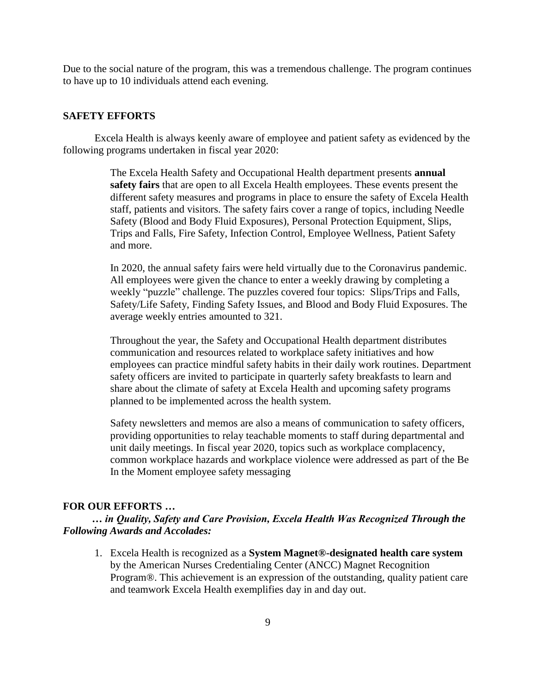Due to the social nature of the program, this was a tremendous challenge. The program continues to have up to 10 individuals attend each evening.

## **SAFETY EFFORTS**

Excela Health is always keenly aware of employee and patient safety as evidenced by the following programs undertaken in fiscal year 2020:

> The Excela Health Safety and Occupational Health department presents **annual safety fairs** that are open to all Excela Health employees. These events present the different safety measures and programs in place to ensure the safety of Excela Health staff, patients and visitors. The safety fairs cover a range of topics, including Needle Safety (Blood and Body Fluid Exposures), Personal Protection Equipment, Slips, Trips and Falls, Fire Safety, Infection Control, Employee Wellness, Patient Safety and more.

> In 2020, the annual safety fairs were held virtually due to the Coronavirus pandemic. All employees were given the chance to enter a weekly drawing by completing a weekly "puzzle" challenge. The puzzles covered four topics: Slips/Trips and Falls, Safety/Life Safety, Finding Safety Issues, and Blood and Body Fluid Exposures. The average weekly entries amounted to 321.

> Throughout the year, the Safety and Occupational Health department distributes communication and resources related to workplace safety initiatives and how employees can practice mindful safety habits in their daily work routines. Department safety officers are invited to participate in quarterly safety breakfasts to learn and share about the climate of safety at Excela Health and upcoming safety programs planned to be implemented across the health system.

> Safety newsletters and memos are also a means of communication to safety officers, providing opportunities to relay teachable moments to staff during departmental and unit daily meetings. In fiscal year 2020, topics such as workplace complacency, common workplace hazards and workplace violence were addressed as part of the Be In the Moment employee safety messaging

## **FOR OUR EFFORTS …**

 *… in Quality, Safety and Care Provision, Excela Health Was Recognized Through the Following Awards and Accolades:*

1. Excela Health is recognized as a **System Magnet®-designated health care system** by the American Nurses Credentialing Center (ANCC) Magnet Recognition Program®. This achievement is an expression of the outstanding, quality patient care and teamwork Excela Health exemplifies day in and day out.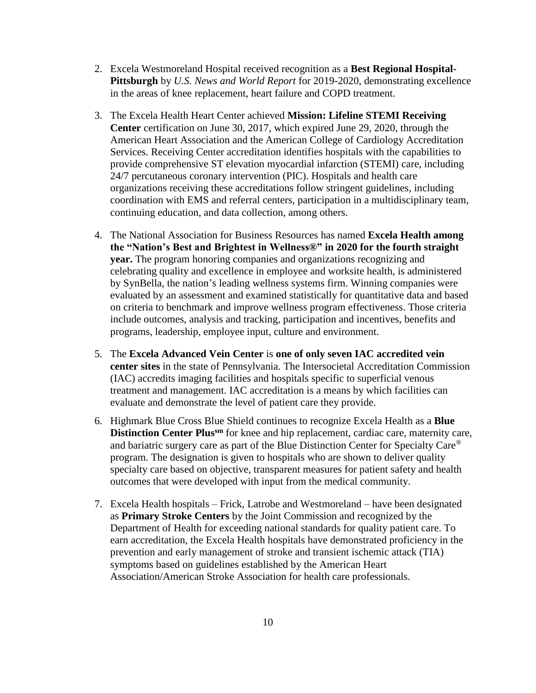- 2. Excela Westmoreland Hospital received recognition as a **Best Regional Hospital-Pittsburgh** by *U.S. News and World Report* for 2019-2020, demonstrating excellence in the areas of knee replacement, heart failure and COPD treatment.
- 3. The Excela Health Heart Center achieved **Mission: Lifeline STEMI Receiving Center** certification on June 30, 2017, which expired June 29, 2020, through the American Heart Association and the American College of Cardiology Accreditation Services. Receiving Center accreditation identifies hospitals with the capabilities to provide comprehensive ST elevation myocardial infarction (STEMI) care, including 24/7 percutaneous coronary intervention (PIC). Hospitals and health care organizations receiving these accreditations follow stringent guidelines, including coordination with EMS and referral centers, participation in a multidisciplinary team, continuing education, and data collection, among others.
- 4. The National Association for Business Resources has named **Excela Health among the "Nation's Best and Brightest in Wellness®" in 2020 for the fourth straight year.** The program honoring companies and organizations recognizing and celebrating quality and excellence in employee and worksite health, is administered by SynBella, the nation's leading wellness systems firm. Winning companies were evaluated by an assessment and examined statistically for quantitative data and based on criteria to benchmark and improve wellness program effectiveness. Those criteria include outcomes, analysis and tracking, participation and incentives, benefits and programs, leadership, employee input, culture and environment.
- 5. The **Excela Advanced Vein Center** is **one of only seven IAC accredited vein center sites** in the state of Pennsylvania. The Intersocietal Accreditation Commission (IAC) accredits imaging facilities and hospitals specific to superficial venous treatment and management. IAC accreditation is a means by which facilities can evaluate and demonstrate the level of patient care they provide.
- 6. Highmark Blue Cross Blue Shield continues to recognize Excela Health as a **Blue Distinction Center Plussm** for knee and hip replacement, cardiac care, maternity care, and bariatric surgery care as part of the Blue Distinction Center for Specialty Care® program. The designation is given to hospitals who are shown to deliver quality specialty care based on objective, transparent measures for patient safety and health outcomes that were developed with input from the medical community.
- 7. Excela Health hospitals Frick, Latrobe and Westmoreland have been designated as **Primary Stroke Centers** by the Joint Commission and recognized by the Department of Health for exceeding national standards for quality patient care. To earn accreditation, the Excela Health hospitals have demonstrated proficiency in the prevention and early management of stroke and transient ischemic attack (TIA) symptoms based on guidelines established by the American Heart Association/American Stroke Association for health care professionals.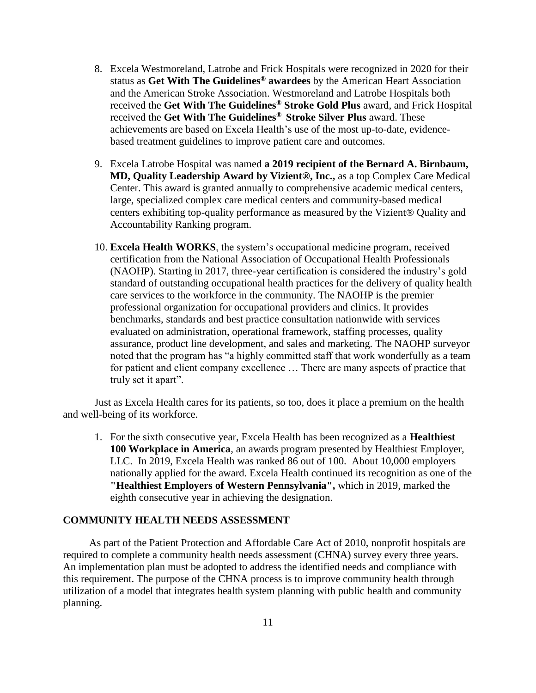- 8. Excela Westmoreland, Latrobe and Frick Hospitals were recognized in 2020 for their status as **Get With The Guidelines® awardees** by the American Heart Association and the American Stroke Association. Westmoreland and Latrobe Hospitals both received the **Get With The Guidelines® Stroke Gold Plus** award, and Frick Hospital received the **Get With The Guidelines® Stroke Silver Plus** award. These achievements are based on Excela Health's use of the most up-to-date, evidencebased treatment guidelines to improve patient care and outcomes.
- 9. Excela Latrobe Hospital was named **a 2019 recipient of the Bernard A. Birnbaum, MD, Quality Leadership Award by Vizient®, Inc.,** as a top Complex Care Medical Center. This award is granted annually to comprehensive academic medical centers, large, specialized complex care medical centers and community-based medical centers exhibiting top-quality performance as measured by the Vizient® Quality and Accountability Ranking program.
- 10. **Excela Health WORKS**, the system's occupational medicine program, received certification from the National Association of Occupational Health Professionals (NAOHP). Starting in 2017, three-year certification is considered the industry's gold standard of outstanding occupational health practices for the delivery of quality health care services to the workforce in the community. The NAOHP is the premier professional organization for occupational providers and clinics. It provides benchmarks, standards and best practice consultation nationwide with services evaluated on administration, operational framework, staffing processes, quality assurance, product line development, and sales and marketing. The NAOHP surveyor noted that the program has "a highly committed staff that work wonderfully as a team for patient and client company excellence … There are many aspects of practice that truly set it apart".

Just as Excela Health cares for its patients, so too, does it place a premium on the health and well-being of its workforce.

1. For the sixth consecutive year, Excela Health has been recognized as a **Healthiest 100 Workplace in America**, an awards program presented by Healthiest Employer, LLC. In 2019, Excela Health was ranked 86 out of 100. About 10,000 employers nationally applied for the award. Excela Health continued its recognition as one of the **"Healthiest Employers of Western Pennsylvania",** which in 2019, marked the eighth consecutive year in achieving the designation.

# **COMMUNITY HEALTH NEEDS ASSESSMENT**

As part of the Patient Protection and Affordable Care Act of 2010, nonprofit hospitals are required to complete a community health needs assessment (CHNA) survey every three years. An implementation plan must be adopted to address the identified needs and compliance with this requirement. The purpose of the CHNA process is to improve community health through utilization of a model that integrates health system planning with public health and community planning.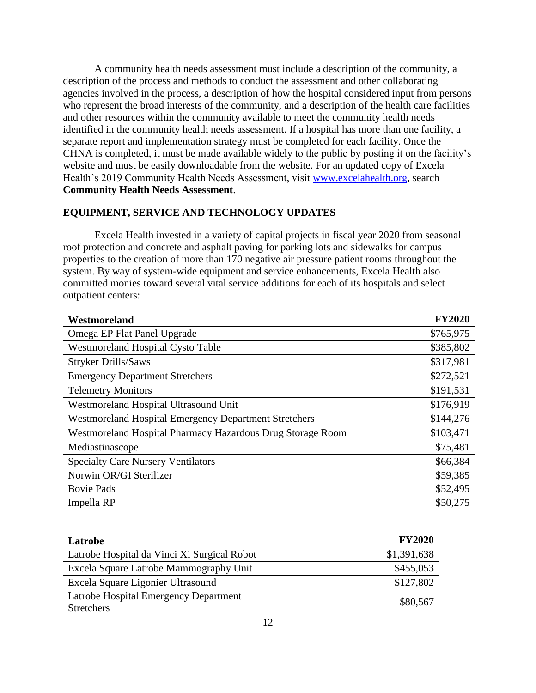A community health needs assessment must include a description of the community, a description of the process and methods to conduct the assessment and other collaborating agencies involved in the process, a description of how the hospital considered input from persons who represent the broad interests of the community, and a description of the health care facilities and other resources within the community available to meet the community health needs identified in the community health needs assessment. If a hospital has more than one facility, a separate report and implementation strategy must be completed for each facility. Once the CHNA is completed, it must be made available widely to the public by posting it on the facility's website and must be easily downloadable from the website. For an updated copy of Excela Health's 2019 Community Health Needs Assessment, visit [www.excelahealth.org,](http://www.excelahealth.org/) search **Community Health Needs Assessment**.

# **EQUIPMENT, SERVICE AND TECHNOLOGY UPDATES**

Excela Health invested in a variety of capital projects in fiscal year 2020 from seasonal roof protection and concrete and asphalt paving for parking lots and sidewalks for campus properties to the creation of more than 170 negative air pressure patient rooms throughout the system. By way of system-wide equipment and service enhancements, Excela Health also committed monies toward several vital service additions for each of its hospitals and select outpatient centers:

| Westmoreland                                                 | <b>FY2020</b> |
|--------------------------------------------------------------|---------------|
| Omega EP Flat Panel Upgrade                                  | \$765,975     |
| <b>Westmoreland Hospital Cysto Table</b>                     | \$385,802     |
| <b>Stryker Drills/Saws</b>                                   | \$317,981     |
| <b>Emergency Department Stretchers</b>                       | \$272,521     |
| <b>Telemetry Monitors</b>                                    | \$191,531     |
| Westmoreland Hospital Ultrasound Unit                        | \$176,919     |
| <b>Westmoreland Hospital Emergency Department Stretchers</b> | \$144,276     |
| Westmoreland Hospital Pharmacy Hazardous Drug Storage Room   | \$103,471     |
| Mediastinascope                                              | \$75,481      |
| <b>Specialty Care Nursery Ventilators</b>                    | \$66,384      |
| Norwin OR/GI Sterilizer                                      | \$59,385      |
| <b>Bovie Pads</b>                                            | \$52,495      |
| Impella RP                                                   | \$50,275      |

| Latrobe                                     | <b>FY2020</b> |
|---------------------------------------------|---------------|
| Latrobe Hospital da Vinci Xi Surgical Robot | \$1,391,638   |
| Excela Square Latrobe Mammography Unit      | \$455,053     |
| Excela Square Ligonier Ultrasound           | \$127,802     |
| Latrobe Hospital Emergency Department       | \$80,567      |
| <b>Stretchers</b>                           |               |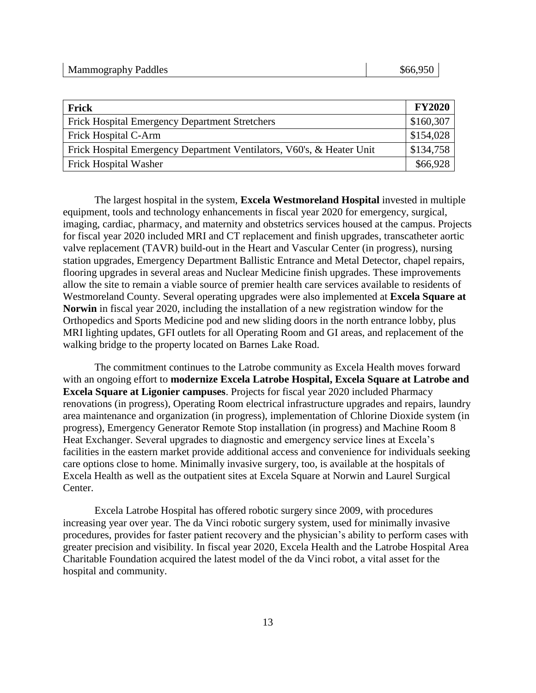| Frick                                                                 | <b>FY2020</b> |
|-----------------------------------------------------------------------|---------------|
| Frick Hospital Emergency Department Stretchers                        | \$160,307     |
| Frick Hospital C-Arm                                                  | \$154,028     |
| Frick Hospital Emergency Department Ventilators, V60's, & Heater Unit | \$134,758     |
| <b>Frick Hospital Washer</b>                                          | \$66,928      |

The largest hospital in the system, **Excela Westmoreland Hospital** invested in multiple equipment, tools and technology enhancements in fiscal year 2020 for emergency, surgical, imaging, cardiac, pharmacy, and maternity and obstetrics services housed at the campus. Projects for fiscal year 2020 included MRI and CT replacement and finish upgrades, transcatheter aortic valve replacement (TAVR) build-out in the Heart and Vascular Center (in progress), nursing station upgrades, Emergency Department Ballistic Entrance and Metal Detector, chapel repairs, flooring upgrades in several areas and Nuclear Medicine finish upgrades. These improvements allow the site to remain a viable source of premier health care services available to residents of Westmoreland County. Several operating upgrades were also implemented at **Excela Square at Norwin** in fiscal year 2020, including the installation of a new registration window for the Orthopedics and Sports Medicine pod and new sliding doors in the north entrance lobby, plus MRI lighting updates, GFI outlets for all Operating Room and GI areas, and replacement of the walking bridge to the property located on Barnes Lake Road.

The commitment continues to the Latrobe community as Excela Health moves forward with an ongoing effort to **modernize Excela Latrobe Hospital, Excela Square at Latrobe and Excela Square at Ligonier campuses**. Projects for fiscal year 2020 included Pharmacy renovations (in progress), Operating Room electrical infrastructure upgrades and repairs, laundry area maintenance and organization (in progress), implementation of Chlorine Dioxide system (in progress), Emergency Generator Remote Stop installation (in progress) and Machine Room 8 Heat Exchanger. Several upgrades to diagnostic and emergency service lines at Excela's facilities in the eastern market provide additional access and convenience for individuals seeking care options close to home. Minimally invasive surgery, too, is available at the hospitals of Excela Health as well as the outpatient sites at Excela Square at Norwin and Laurel Surgical Center.

Excela Latrobe Hospital has offered robotic surgery since 2009, with procedures increasing year over year. The da Vinci robotic surgery system, used for minimally invasive procedures, provides for faster patient recovery and the physician's ability to perform cases with greater precision and visibility. In fiscal year 2020, Excela Health and the Latrobe Hospital Area Charitable Foundation acquired the latest model of the da Vinci robot, a vital asset for the hospital and community.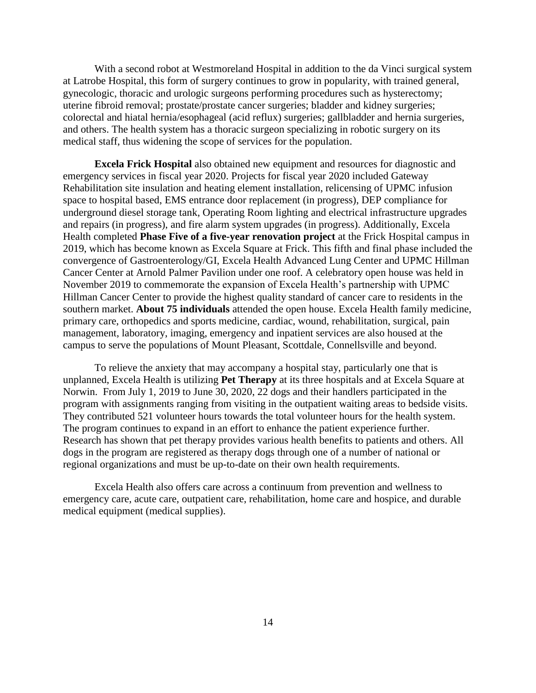With a second robot at Westmoreland Hospital in addition to the da Vinci surgical system at Latrobe Hospital, this form of surgery continues to grow in popularity, with trained general, gynecologic, thoracic and urologic surgeons performing procedures such as hysterectomy; uterine fibroid removal; prostate/prostate cancer surgeries; bladder and kidney surgeries; colorectal and hiatal hernia/esophageal (acid reflux) surgeries; gallbladder and hernia surgeries, and others. The health system has a thoracic surgeon specializing in robotic surgery on its medical staff, thus widening the scope of services for the population.

**Excela Frick Hospital** also obtained new equipment and resources for diagnostic and emergency services in fiscal year 2020. Projects for fiscal year 2020 included Gateway Rehabilitation site insulation and heating element installation, relicensing of UPMC infusion space to hospital based, EMS entrance door replacement (in progress), DEP compliance for underground diesel storage tank, Operating Room lighting and electrical infrastructure upgrades and repairs (in progress), and fire alarm system upgrades (in progress). Additionally, Excela Health completed **Phase Five of a five-year renovation project** at the Frick Hospital campus in 2019, which has become known as Excela Square at Frick. This fifth and final phase included the convergence of Gastroenterology/GI, Excela Health Advanced Lung Center and UPMC Hillman Cancer Center at Arnold Palmer Pavilion under one roof. A celebratory open house was held in November 2019 to commemorate the expansion of Excela Health's partnership with UPMC Hillman Cancer Center to provide the highest quality standard of cancer care to residents in the southern market. **About 75 individuals** attended the open house. Excela Health family medicine, primary care, orthopedics and sports medicine, cardiac, wound, rehabilitation, surgical, pain management, laboratory, imaging, emergency and inpatient services are also housed at the campus to serve the populations of Mount Pleasant, Scottdale, Connellsville and beyond.

To relieve the anxiety that may accompany a hospital stay, particularly one that is unplanned, Excela Health is utilizing **Pet Therapy** at its three hospitals and at Excela Square at Norwin. From July 1, 2019 to June 30, 2020, 22 dogs and their handlers participated in the program with assignments ranging from visiting in the outpatient waiting areas to bedside visits. They contributed 521 volunteer hours towards the total volunteer hours for the health system. The program continues to expand in an effort to enhance the patient experience further. Research has shown that pet therapy provides various health benefits to patients and others. All dogs in the program are registered as therapy dogs through one of a number of national or regional organizations and must be up-to-date on their own health requirements.

Excela Health also offers care across a continuum from prevention and wellness to emergency care, acute care, outpatient care, rehabilitation, home care and hospice, and durable medical equipment (medical supplies).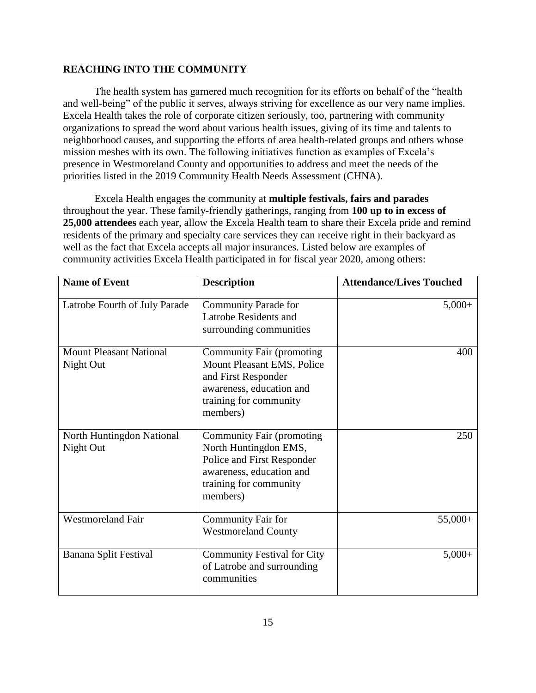# **REACHING INTO THE COMMUNITY**

The health system has garnered much recognition for its efforts on behalf of the "health and well-being" of the public it serves, always striving for excellence as our very name implies. Excela Health takes the role of corporate citizen seriously, too, partnering with community organizations to spread the word about various health issues, giving of its time and talents to neighborhood causes, and supporting the efforts of area health-related groups and others whose mission meshes with its own. The following initiatives function as examples of Excela's presence in Westmoreland County and opportunities to address and meet the needs of the priorities listed in the 2019 Community Health Needs Assessment (CHNA).

Excela Health engages the community at **multiple festivals, fairs and parades** throughout the year. These family-friendly gatherings, ranging from **100 up to in excess of 25,000 attendees** each year, allow the Excela Health team to share their Excela pride and remind residents of the primary and specialty care services they can receive right in their backyard as well as the fact that Excela accepts all major insurances. Listed below are examples of community activities Excela Health participated in for fiscal year 2020, among others:

| <b>Name of Event</b>                        | <b>Description</b>                                                                                                                                      | <b>Attendance/Lives Touched</b> |
|---------------------------------------------|---------------------------------------------------------------------------------------------------------------------------------------------------------|---------------------------------|
| Latrobe Fourth of July Parade               | <b>Community Parade for</b><br>Latrobe Residents and<br>surrounding communities                                                                         | $5,000+$                        |
| <b>Mount Pleasant National</b><br>Night Out | <b>Community Fair (promoting</b><br>Mount Pleasant EMS, Police<br>and First Responder<br>awareness, education and<br>training for community<br>members) | 400                             |
| North Huntingdon National<br>Night Out      | Community Fair (promoting<br>North Huntingdon EMS,<br>Police and First Responder<br>awareness, education and<br>training for community<br>members)      | 250                             |
| <b>Westmoreland Fair</b>                    | <b>Community Fair for</b><br><b>Westmoreland County</b>                                                                                                 | $55,000+$                       |
| Banana Split Festival                       | <b>Community Festival for City</b><br>of Latrobe and surrounding<br>communities                                                                         | $5,000+$                        |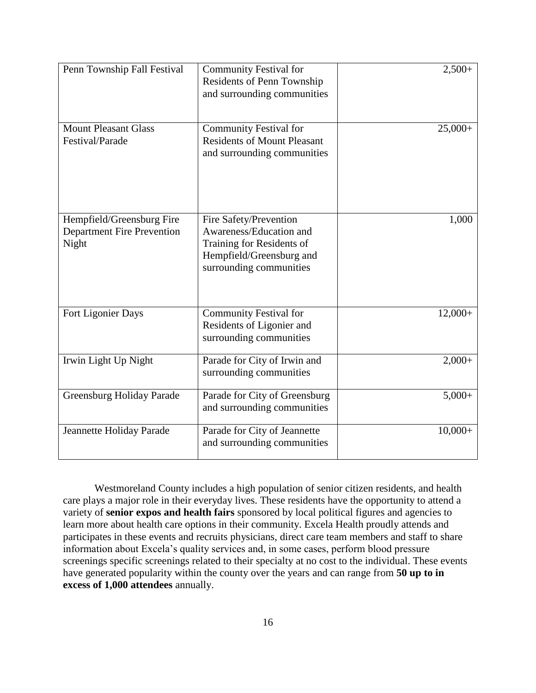| Penn Township Fall Festival                                             | <b>Community Festival for</b><br>Residents of Penn Township<br>and surrounding communities                                            | $2,500+$  |
|-------------------------------------------------------------------------|---------------------------------------------------------------------------------------------------------------------------------------|-----------|
| <b>Mount Pleasant Glass</b><br>Festival/Parade                          | <b>Community Festival for</b><br><b>Residents of Mount Pleasant</b><br>and surrounding communities                                    | $25,000+$ |
| Hempfield/Greensburg Fire<br><b>Department Fire Prevention</b><br>Night | Fire Safety/Prevention<br>Awareness/Education and<br>Training for Residents of<br>Hempfield/Greensburg and<br>surrounding communities | 1,000     |
| Fort Ligonier Days                                                      | <b>Community Festival for</b><br>Residents of Ligonier and<br>surrounding communities                                                 | $12,000+$ |
| Irwin Light Up Night                                                    | Parade for City of Irwin and<br>surrounding communities                                                                               | $2,000+$  |
| <b>Greensburg Holiday Parade</b>                                        | Parade for City of Greensburg<br>and surrounding communities                                                                          | $5,000+$  |
| Jeannette Holiday Parade                                                | Parade for City of Jeannette<br>and surrounding communities                                                                           | $10,000+$ |

Westmoreland County includes a high population of senior citizen residents, and health care plays a major role in their everyday lives. These residents have the opportunity to attend a variety of **senior expos and health fairs** sponsored by local political figures and agencies to learn more about health care options in their community. Excela Health proudly attends and participates in these events and recruits physicians, direct care team members and staff to share information about Excela's quality services and, in some cases, perform blood pressure screenings specific screenings related to their specialty at no cost to the individual. These events have generated popularity within the county over the years and can range from **50 up to in excess of 1,000 attendees** annually.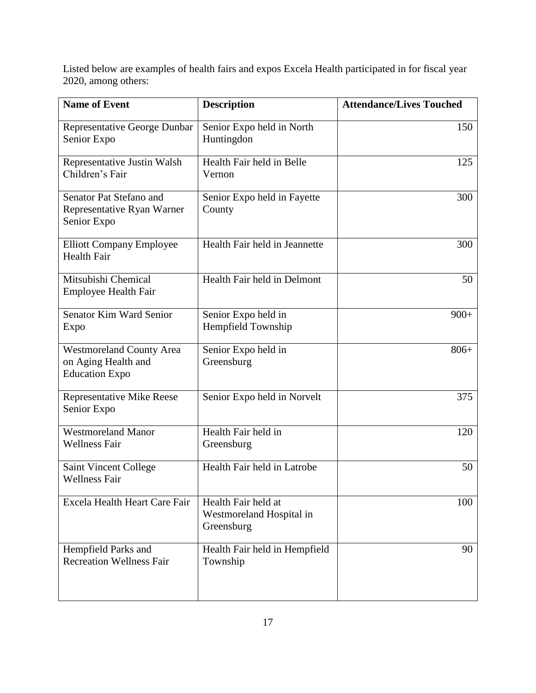Listed below are examples of health fairs and expos Excela Health participated in for fiscal year 2020, among others:

| <b>Name of Event</b>                                                            | <b>Description</b>                                            | <b>Attendance/Lives Touched</b> |
|---------------------------------------------------------------------------------|---------------------------------------------------------------|---------------------------------|
| Representative George Dunbar<br>Senior Expo                                     | Senior Expo held in North<br>Huntingdon                       | 150                             |
| Representative Justin Walsh<br>Children's Fair                                  | Health Fair held in Belle<br>Vernon                           | 125                             |
| Senator Pat Stefano and<br>Representative Ryan Warner<br>Senior Expo            | Senior Expo held in Fayette<br>County                         | 300                             |
| <b>Elliott Company Employee</b><br><b>Health Fair</b>                           | Health Fair held in Jeannette                                 | 300                             |
| Mitsubishi Chemical<br><b>Employee Health Fair</b>                              | Health Fair held in Delmont                                   | 50                              |
| Senator Kim Ward Senior<br>Expo                                                 | Senior Expo held in<br>Hempfield Township                     | $900+$                          |
| <b>Westmoreland County Area</b><br>on Aging Health and<br><b>Education Expo</b> | Senior Expo held in<br>Greensburg                             | $806+$                          |
| <b>Representative Mike Reese</b><br>Senior Expo                                 | Senior Expo held in Norvelt                                   | 375                             |
| <b>Westmoreland Manor</b><br><b>Wellness Fair</b>                               | Health Fair held in<br>Greensburg                             | 120                             |
| <b>Saint Vincent College</b><br><b>Wellness Fair</b>                            | Health Fair held in Latrobe                                   | 50                              |
| Excela Health Heart Care Fair                                                   | Health Fair held at<br>Westmoreland Hospital in<br>Greensburg | 100                             |
| Hempfield Parks and<br><b>Recreation Wellness Fair</b>                          | Health Fair held in Hempfield<br>Township                     | 90                              |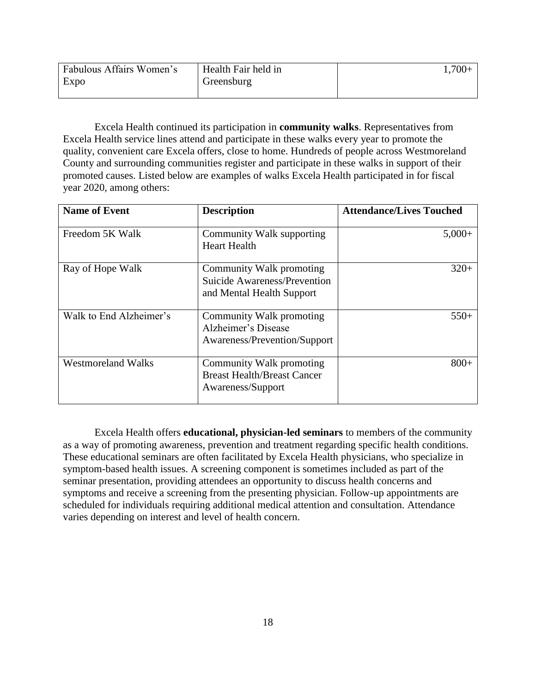| Fabulous Affairs Women's | Health Fair held in | $1,700+$ |
|--------------------------|---------------------|----------|
| Expo                     | Greensburg          |          |
|                          |                     |          |

Excela Health continued its participation in **community walks**. Representatives from Excela Health service lines attend and participate in these walks every year to promote the quality, convenient care Excela offers, close to home. Hundreds of people across Westmoreland County and surrounding communities register and participate in these walks in support of their promoted causes. Listed below are examples of walks Excela Health participated in for fiscal year 2020, among others:

| <b>Name of Event</b>      | <b>Description</b>                                                                    | <b>Attendance/Lives Touched</b> |
|---------------------------|---------------------------------------------------------------------------------------|---------------------------------|
| Freedom 5K Walk           | Community Walk supporting<br><b>Heart Health</b>                                      | $5,000+$                        |
| Ray of Hope Walk          | Community Walk promoting<br>Suicide Awareness/Prevention<br>and Mental Health Support | $320+$                          |
| Walk to End Alzheimer's   | Community Walk promoting<br>Alzheimer's Disease<br>Awareness/Prevention/Support       | $550+$                          |
| <b>Westmoreland Walks</b> | Community Walk promoting<br><b>Breast Health/Breast Cancer</b><br>Awareness/Support   | $800+$                          |

Excela Health offers **educational, physician-led seminars** to members of the community as a way of promoting awareness, prevention and treatment regarding specific health conditions. These educational seminars are often facilitated by Excela Health physicians, who specialize in symptom-based health issues. A screening component is sometimes included as part of the seminar presentation, providing attendees an opportunity to discuss health concerns and symptoms and receive a screening from the presenting physician. Follow-up appointments are scheduled for individuals requiring additional medical attention and consultation. Attendance varies depending on interest and level of health concern.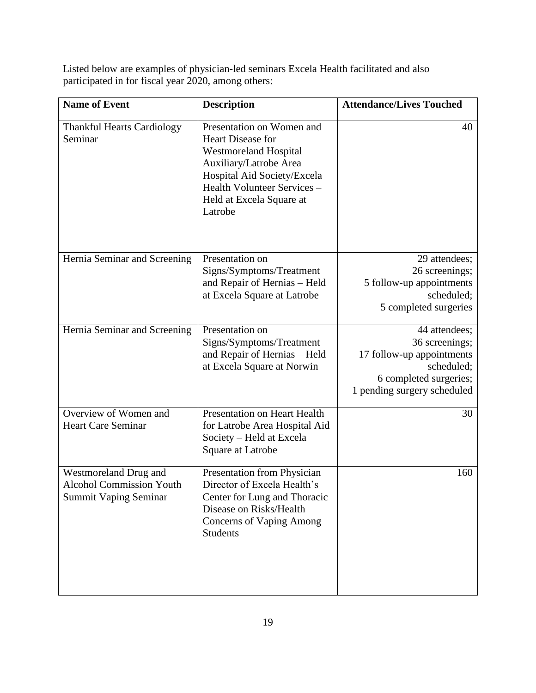Listed below are examples of physician-led seminars Excela Health facilitated and also participated in for fiscal year 2020, among others:

| <b>Name of Event</b>                                                                     | <b>Description</b>                                                                                                                                                                                            | <b>Attendance/Lives Touched</b>                                                                                                     |
|------------------------------------------------------------------------------------------|---------------------------------------------------------------------------------------------------------------------------------------------------------------------------------------------------------------|-------------------------------------------------------------------------------------------------------------------------------------|
| <b>Thankful Hearts Cardiology</b><br>Seminar                                             | Presentation on Women and<br>Heart Disease for<br><b>Westmoreland Hospital</b><br>Auxiliary/Latrobe Area<br>Hospital Aid Society/Excela<br>Health Volunteer Services -<br>Held at Excela Square at<br>Latrobe | 40                                                                                                                                  |
| Hernia Seminar and Screening                                                             | Presentation on<br>Signs/Symptoms/Treatment<br>and Repair of Hernias - Held<br>at Excela Square at Latrobe                                                                                                    | 29 attendees;<br>26 screenings;<br>5 follow-up appointments<br>scheduled;<br>5 completed surgeries                                  |
| Hernia Seminar and Screening                                                             | Presentation on<br>Signs/Symptoms/Treatment<br>and Repair of Hernias - Held<br>at Excela Square at Norwin                                                                                                     | 44 attendees;<br>36 screenings;<br>17 follow-up appointments<br>scheduled;<br>6 completed surgeries;<br>1 pending surgery scheduled |
| Overview of Women and<br><b>Heart Care Seminar</b>                                       | Presentation on Heart Health<br>for Latrobe Area Hospital Aid<br>Society - Held at Excela<br>Square at Latrobe                                                                                                | 30                                                                                                                                  |
| Westmoreland Drug and<br><b>Alcohol Commission Youth</b><br><b>Summit Vaping Seminar</b> | Presentation from Physician<br>Director of Excela Health's<br>Center for Lung and Thoracic<br>Disease on Risks/Health<br><b>Concerns of Vaping Among</b><br><b>Students</b>                                   | 160                                                                                                                                 |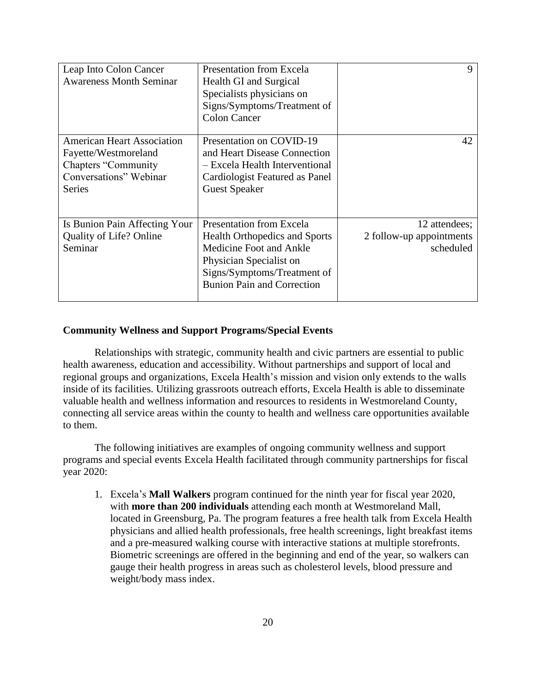| Leap Into Colon Cancer<br><b>Awareness Month Seminar</b>                                                                           | Presentation from Excela<br>Health GI and Surgical<br>Specialists physicians on<br>Signs/Symptoms/Treatment of<br><b>Colon Cancer</b>                                                             | 9                                                      |
|------------------------------------------------------------------------------------------------------------------------------------|---------------------------------------------------------------------------------------------------------------------------------------------------------------------------------------------------|--------------------------------------------------------|
| <b>American Heart Association</b><br>Fayette/Westmoreland<br><b>Chapters "Community</b><br>Conversations" Webinar<br><b>Series</b> | Presentation on COVID-19<br>and Heart Disease Connection<br>- Excela Health Interventional<br>Cardiologist Featured as Panel<br><b>Guest Speaker</b>                                              | 42                                                     |
| Is Bunion Pain Affecting Your<br><b>Quality of Life? Online</b><br>Seminar                                                         | <b>Presentation from Excela</b><br><b>Health Orthopedics and Sports</b><br>Medicine Foot and Ankle<br>Physician Specialist on<br>Signs/Symptoms/Treatment of<br><b>Bunion Pain and Correction</b> | 12 attendees;<br>2 follow-up appointments<br>scheduled |

# **Community Wellness and Support Programs/Special Events**

Relationships with strategic, community health and civic partners are essential to public health awareness, education and accessibility. Without partnerships and support of local and regional groups and organizations, Excela Health's mission and vision only extends to the walls inside of its facilities. Utilizing grassroots outreach efforts, Excela Health is able to disseminate valuable health and wellness information and resources to residents in Westmoreland County, connecting all service areas within the county to health and wellness care opportunities available to them.

The following initiatives are examples of ongoing community wellness and support programs and special events Excela Health facilitated through community partnerships for fiscal year 2020:

1. Excela's **Mall Walkers** program continued for the ninth year for fiscal year 2020, with **more than 200 individuals** attending each month at Westmoreland Mall, located in Greensburg, Pa. The program features a free health talk from Excela Health physicians and allied health professionals, free health screenings, light breakfast items and a pre-measured walking course with interactive stations at multiple storefronts. Biometric screenings are offered in the beginning and end of the year, so walkers can gauge their health progress in areas such as cholesterol levels, blood pressure and weight/body mass index.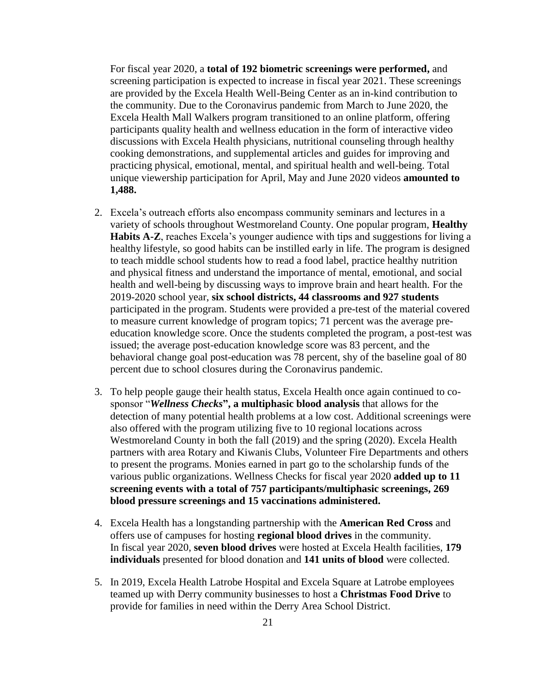For fiscal year 2020, a **total of 192 biometric screenings were performed,** and screening participation is expected to increase in fiscal year 2021. These screenings are provided by the Excela Health Well-Being Center as an in-kind contribution to the community. Due to the Coronavirus pandemic from March to June 2020, the Excela Health Mall Walkers program transitioned to an online platform, offering participants quality health and wellness education in the form of interactive video discussions with Excela Health physicians, nutritional counseling through healthy cooking demonstrations, and supplemental articles and guides for improving and practicing physical, emotional, mental, and spiritual health and well-being. Total unique viewership participation for April, May and June 2020 videos **amounted to 1,488.**

- 2. Excela's outreach efforts also encompass community seminars and lectures in a variety of schools throughout Westmoreland County. One popular program, **Healthy Habits A-Z**, reaches Excela's younger audience with tips and suggestions for living a healthy lifestyle, so good habits can be instilled early in life. The program is designed to teach middle school students how to read a food label, practice healthy nutrition and physical fitness and understand the importance of mental, emotional, and social health and well-being by discussing ways to improve brain and heart health. For the 2019-2020 school year, **six school districts, 44 classrooms and 927 students** participated in the program. Students were provided a pre-test of the material covered to measure current knowledge of program topics; 71 percent was the average preeducation knowledge score. Once the students completed the program, a post-test was issued; the average post-education knowledge score was 83 percent, and the behavioral change goal post-education was 78 percent, shy of the baseline goal of 80 percent due to school closures during the Coronavirus pandemic.
- 3. To help people gauge their health status, Excela Health once again continued to cosponsor "*Wellness Checks***", a multiphasic blood analysis** that allows for the detection of many potential health problems at a low cost. Additional screenings were also offered with the program utilizing five to 10 regional locations across Westmoreland County in both the fall (2019) and the spring (2020). Excela Health partners with area Rotary and Kiwanis Clubs, Volunteer Fire Departments and others to present the programs. Monies earned in part go to the scholarship funds of the various public organizations. Wellness Checks for fiscal year 2020 **added up to 11 screening events with a total of 757 participants/multiphasic screenings, 269 blood pressure screenings and 15 vaccinations administered.**
- 4. Excela Health has a longstanding partnership with the **American Red Cross** and offers use of campuses for hosting **regional blood drives** in the community. In fiscal year 2020, **seven blood drives** were hosted at Excela Health facilities, **179 individuals** presented for blood donation and **141 units of blood** were collected.
- 5. In 2019, Excela Health Latrobe Hospital and Excela Square at Latrobe employees teamed up with Derry community businesses to host a **Christmas Food Drive** to provide for families in need within the Derry Area School District.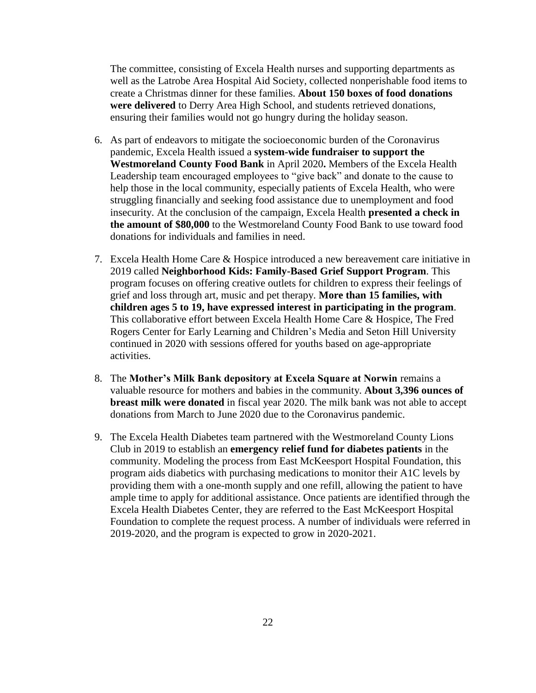The committee, consisting of Excela Health nurses and supporting departments as well as the Latrobe Area Hospital Aid Society, collected nonperishable food items to create a Christmas dinner for these families. **About 150 boxes of food donations were delivered** to Derry Area High School, and students retrieved donations, ensuring their families would not go hungry during the holiday season.

- 6. As part of endeavors to mitigate the socioeconomic burden of the Coronavirus pandemic, Excela Health issued a **system-wide fundraiser to support the Westmoreland County Food Bank** in April 2020**.** Members of the Excela Health Leadership team encouraged employees to "give back" and donate to the cause to help those in the local community, especially patients of Excela Health, who were struggling financially and seeking food assistance due to unemployment and food insecurity. At the conclusion of the campaign, Excela Health **presented a check in the amount of \$80,000** to the Westmoreland County Food Bank to use toward food donations for individuals and families in need.
- 7. Excela Health Home Care & Hospice introduced a new bereavement care initiative in 2019 called **Neighborhood Kids: Family-Based Grief Support Program**. This program focuses on offering creative outlets for children to express their feelings of grief and loss through art, music and pet therapy. **More than 15 families, with children ages 5 to 19, have expressed interest in participating in the program**. This collaborative effort between Excela Health Home Care & Hospice, The Fred Rogers Center for Early Learning and Children's Media and Seton Hill University continued in 2020 with sessions offered for youths based on age-appropriate activities.
- 8. The **Mother's Milk Bank depository at Excela Square at Norwin** remains a valuable resource for mothers and babies in the community. **About 3,396 ounces of breast milk were donated** in fiscal year 2020. The milk bank was not able to accept donations from March to June 2020 due to the Coronavirus pandemic.
- 9. The Excela Health Diabetes team partnered with the Westmoreland County Lions Club in 2019 to establish an **emergency relief fund for diabetes patients** in the community. Modeling the process from East McKeesport Hospital Foundation, this program aids diabetics with purchasing medications to monitor their A1C levels by providing them with a one-month supply and one refill, allowing the patient to have ample time to apply for additional assistance. Once patients are identified through the Excela Health Diabetes Center, they are referred to the East McKeesport Hospital Foundation to complete the request process. A number of individuals were referred in 2019-2020, and the program is expected to grow in 2020-2021.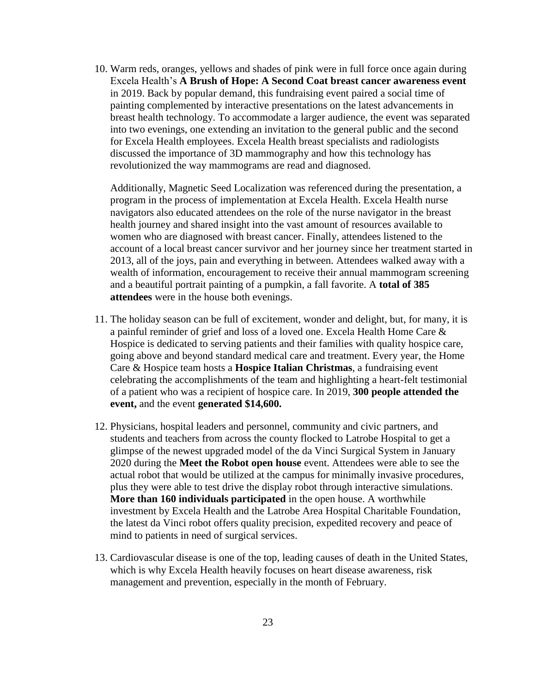10. Warm reds, oranges, yellows and shades of pink were in full force once again during Excela Health's **A Brush of Hope: A Second Coat breast cancer awareness event** in 2019. Back by popular demand, this fundraising event paired a social time of painting complemented by interactive presentations on the latest advancements in breast health technology. To accommodate a larger audience, the event was separated into two evenings, one extending an invitation to the general public and the second for Excela Health employees. Excela Health breast specialists and radiologists discussed the importance of 3D mammography and how this technology has revolutionized the way mammograms are read and diagnosed.

Additionally, Magnetic Seed Localization was referenced during the presentation, a program in the process of implementation at Excela Health. Excela Health nurse navigators also educated attendees on the role of the nurse navigator in the breast health journey and shared insight into the vast amount of resources available to women who are diagnosed with breast cancer. Finally, attendees listened to the account of a local breast cancer survivor and her journey since her treatment started in 2013, all of the joys, pain and everything in between. Attendees walked away with a wealth of information, encouragement to receive their annual mammogram screening and a beautiful portrait painting of a pumpkin, a fall favorite. A **total of 385 attendees** were in the house both evenings.

- 11. The holiday season can be full of excitement, wonder and delight, but, for many, it is a painful reminder of grief and loss of a loved one. Excela Health Home Care & Hospice is dedicated to serving patients and their families with quality hospice care, going above and beyond standard medical care and treatment. Every year, the Home Care & Hospice team hosts a **Hospice Italian Christmas**, a fundraising event celebrating the accomplishments of the team and highlighting a heart-felt testimonial of a patient who was a recipient of hospice care. In 2019, **300 people attended the event,** and the event **generated \$14,600.**
- 12. Physicians, hospital leaders and personnel, community and civic partners, and students and teachers from across the county flocked to Latrobe Hospital to get a glimpse of the newest upgraded model of the da Vinci Surgical System in January 2020 during the **Meet the Robot open house** event. Attendees were able to see the actual robot that would be utilized at the campus for minimally invasive procedures, plus they were able to test drive the display robot through interactive simulations. **More than 160 individuals participated** in the open house. A worthwhile investment by Excela Health and the Latrobe Area Hospital Charitable Foundation, the latest da Vinci robot offers quality precision, expedited recovery and peace of mind to patients in need of surgical services.
- 13. Cardiovascular disease is one of the top, leading causes of death in the United States, which is why Excela Health heavily focuses on heart disease awareness, risk management and prevention, especially in the month of February.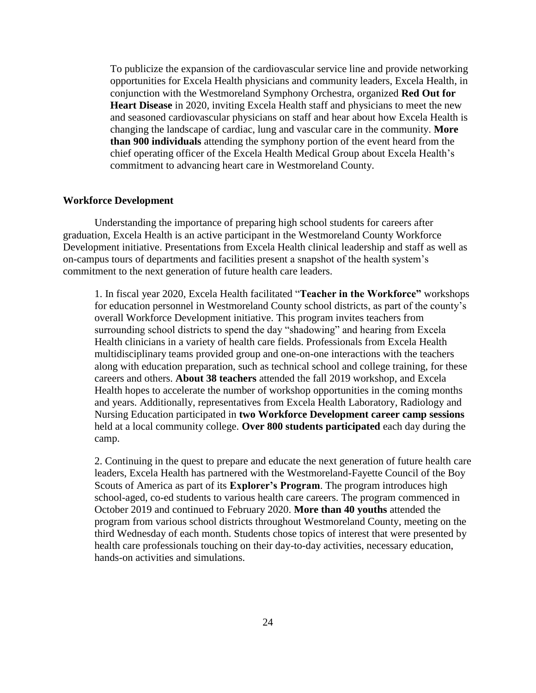To publicize the expansion of the cardiovascular service line and provide networking opportunities for Excela Health physicians and community leaders, Excela Health, in conjunction with the Westmoreland Symphony Orchestra, organized **Red Out for Heart Disease** in 2020, inviting Excela Health staff and physicians to meet the new and seasoned cardiovascular physicians on staff and hear about how Excela Health is changing the landscape of cardiac, lung and vascular care in the community. **More than 900 individuals** attending the symphony portion of the event heard from the chief operating officer of the Excela Health Medical Group about Excela Health's commitment to advancing heart care in Westmoreland County.

## **Workforce Development**

Understanding the importance of preparing high school students for careers after graduation, Excela Health is an active participant in the Westmoreland County Workforce Development initiative. Presentations from Excela Health clinical leadership and staff as well as on-campus tours of departments and facilities present a snapshot of the health system's commitment to the next generation of future health care leaders.

1. In fiscal year 2020, Excela Health facilitated "**Teacher in the Workforce"** workshops for education personnel in Westmoreland County school districts, as part of the county's overall Workforce Development initiative. This program invites teachers from surrounding school districts to spend the day "shadowing" and hearing from Excela Health clinicians in a variety of health care fields. Professionals from Excela Health multidisciplinary teams provided group and one-on-one interactions with the teachers along with education preparation, such as technical school and college training, for these careers and others. **About 38 teachers** attended the fall 2019 workshop, and Excela Health hopes to accelerate the number of workshop opportunities in the coming months and years. Additionally, representatives from Excela Health Laboratory, Radiology and Nursing Education participated in **two Workforce Development career camp sessions** held at a local community college. **Over 800 students participated** each day during the camp.

2. Continuing in the quest to prepare and educate the next generation of future health care leaders, Excela Health has partnered with the Westmoreland-Fayette Council of the Boy Scouts of America as part of its **Explorer's Program**. The program introduces high school-aged, co-ed students to various health care careers. The program commenced in October 2019 and continued to February 2020. **More than 40 youths** attended the program from various school districts throughout Westmoreland County, meeting on the third Wednesday of each month. Students chose topics of interest that were presented by health care professionals touching on their day-to-day activities, necessary education, hands-on activities and simulations.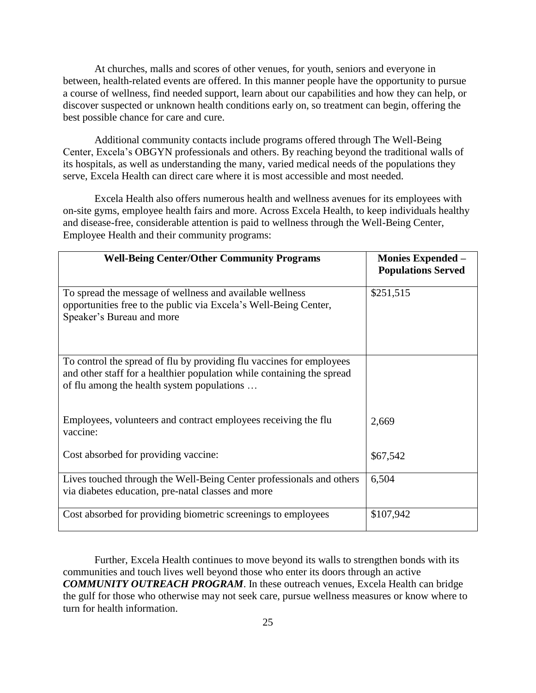At churches, malls and scores of other venues, for youth, seniors and everyone in between, health-related events are offered. In this manner people have the opportunity to pursue a course of wellness, find needed support, learn about our capabilities and how they can help, or discover suspected or unknown health conditions early on, so treatment can begin, offering the best possible chance for care and cure.

Additional community contacts include programs offered through The Well-Being Center, Excela's OBGYN professionals and others. By reaching beyond the traditional walls of its hospitals, as well as understanding the many, varied medical needs of the populations they serve, Excela Health can direct care where it is most accessible and most needed.

Excela Health also offers numerous health and wellness avenues for its employees with on-site gyms, employee health fairs and more. Across Excela Health, to keep individuals healthy and disease-free, considerable attention is paid to wellness through the Well-Being Center, Employee Health and their community programs:

| <b>Well-Being Center/Other Community Programs</b>                                                                                                                                            | <b>Monies Expended –</b><br><b>Populations Served</b> |
|----------------------------------------------------------------------------------------------------------------------------------------------------------------------------------------------|-------------------------------------------------------|
| To spread the message of wellness and available wellness<br>opportunities free to the public via Excela's Well-Being Center,<br>Speaker's Bureau and more                                    | \$251,515                                             |
| To control the spread of flu by providing flu vaccines for employees<br>and other staff for a healthier population while containing the spread<br>of flu among the health system populations |                                                       |
| Employees, volunteers and contract employees receiving the flu<br>vaccine:                                                                                                                   | 2,669                                                 |
| Cost absorbed for providing vaccine:                                                                                                                                                         | \$67,542                                              |
| Lives touched through the Well-Being Center professionals and others<br>via diabetes education, pre-natal classes and more                                                                   | 6,504                                                 |
| Cost absorbed for providing biometric screenings to employees                                                                                                                                | \$107,942                                             |

Further, Excela Health continues to move beyond its walls to strengthen bonds with its communities and touch lives well beyond those who enter its doors through an active *COMMUNITY OUTREACH PROGRAM*. In these outreach venues, Excela Health can bridge the gulf for those who otherwise may not seek care, pursue wellness measures or know where to turn for health information.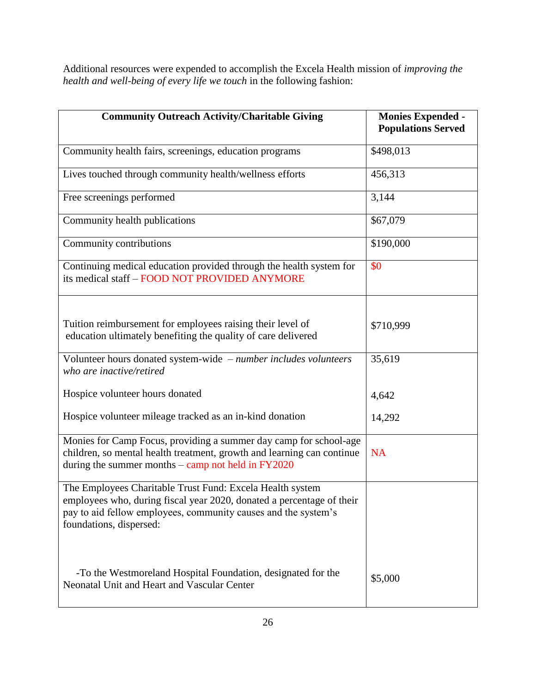Additional resources were expended to accomplish the Excela Health mission of *improving the health and well-being of every life we touch* in the following fashion:

| <b>Community Outreach Activity/Charitable Giving</b>                                                                                                                                                                            | <b>Monies Expended -</b><br><b>Populations Served</b> |
|---------------------------------------------------------------------------------------------------------------------------------------------------------------------------------------------------------------------------------|-------------------------------------------------------|
|                                                                                                                                                                                                                                 |                                                       |
| Community health fairs, screenings, education programs                                                                                                                                                                          | \$498,013                                             |
| Lives touched through community health/wellness efforts                                                                                                                                                                         | 456,313                                               |
| Free screenings performed                                                                                                                                                                                                       | 3,144                                                 |
| Community health publications                                                                                                                                                                                                   | \$67,079                                              |
| Community contributions                                                                                                                                                                                                         | \$190,000                                             |
| Continuing medical education provided through the health system for<br>its medical staff - FOOD NOT PROVIDED ANYMORE                                                                                                            | \$0                                                   |
| Tuition reimbursement for employees raising their level of<br>education ultimately benefiting the quality of care delivered                                                                                                     | \$710,999                                             |
| Volunteer hours donated system-wide - number includes volunteers<br>who are inactive/retired                                                                                                                                    | 35,619                                                |
| Hospice volunteer hours donated                                                                                                                                                                                                 | 4,642                                                 |
| Hospice volunteer mileage tracked as an in-kind donation                                                                                                                                                                        | 14,292                                                |
| Monies for Camp Focus, providing a summer day camp for school-age<br>children, so mental health treatment, growth and learning can continue<br>during the summer months $-$ camp not held in $FY2020$                           | <b>NA</b>                                             |
| The Employees Charitable Trust Fund: Excela Health system<br>employees who, during fiscal year 2020, donated a percentage of their<br>pay to aid fellow employees, community causes and the system's<br>foundations, dispersed: |                                                       |
| -To the Westmoreland Hospital Foundation, designated for the<br>Neonatal Unit and Heart and Vascular Center                                                                                                                     | \$5,000                                               |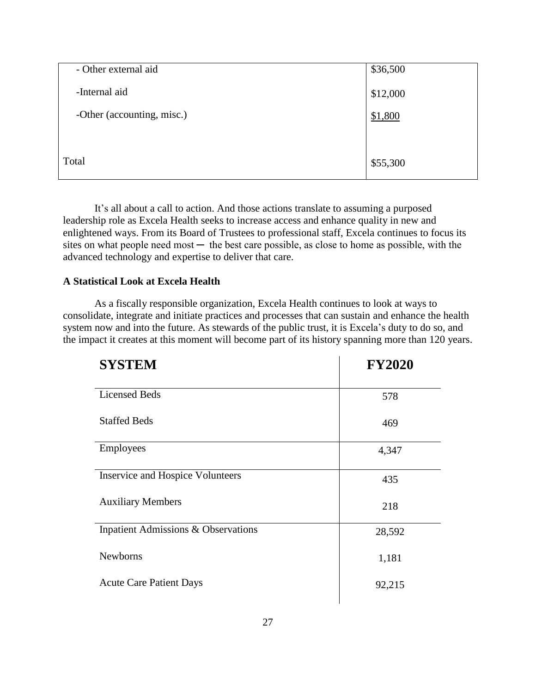| - Other external aid       | \$36,500 |
|----------------------------|----------|
| -Internal aid              | \$12,000 |
| -Other (accounting, misc.) | \$1,800  |
|                            |          |
| Total                      | \$55,300 |

It's all about a call to action. And those actions translate to assuming a purposed leadership role as Excela Health seeks to increase access and enhance quality in new and enlightened ways. From its Board of Trustees to professional staff, Excela continues to focus its sites on what people need most  $-$  the best care possible, as close to home as possible, with the advanced technology and expertise to deliver that care.

# **A Statistical Look at Excela Health**

As a fiscally responsible organization, Excela Health continues to look at ways to consolidate, integrate and initiate practices and processes that can sustain and enhance the health system now and into the future. As stewards of the public trust, it is Excela's duty to do so, and the impact it creates at this moment will become part of its history spanning more than 120 years.

| <b>SYSTEM</b>                                  | <b>FY2020</b> |
|------------------------------------------------|---------------|
| <b>Licensed Beds</b>                           | 578           |
| <b>Staffed Beds</b>                            | 469           |
| Employees                                      | 4,347         |
| <b>Inservice and Hospice Volunteers</b>        | 435           |
| <b>Auxiliary Members</b>                       | 218           |
| <b>Inpatient Admissions &amp; Observations</b> | 28,592        |
| <b>Newborns</b>                                | 1,181         |
| <b>Acute Care Patient Days</b>                 | 92,215        |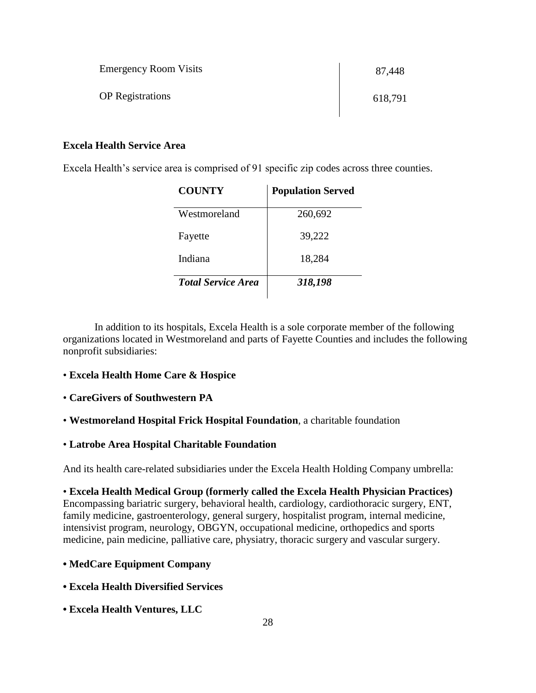| <b>Emergency Room Visits</b> | 87,448  |
|------------------------------|---------|
| <b>OP</b> Registrations      | 618,791 |

# **Excela Health Service Area**

Excela Health's service area is comprised of 91 specific zip codes across three counties.

| <b>COUNTY</b>             | <b>Population Served</b> |
|---------------------------|--------------------------|
| Westmoreland              | 260,692                  |
| Fayette                   | 39,222                   |
| Indiana                   | 18,284                   |
| <b>Total Service Area</b> | 318,198                  |

In addition to its hospitals, Excela Health is a sole corporate member of the following organizations located in Westmoreland and parts of Fayette Counties and includes the following nonprofit subsidiaries:

# • **Excela Health Home Care & Hospice**

# • **CareGivers of Southwestern PA**

• **Westmoreland Hospital Frick Hospital Foundation**, a charitable foundation

# • **Latrobe Area Hospital Charitable Foundation**

And its health care-related subsidiaries under the Excela Health Holding Company umbrella:

• **Excela Health Medical Group (formerly called the Excela Health Physician Practices)** Encompassing bariatric surgery, behavioral health, cardiology, cardiothoracic surgery, ENT, family medicine, gastroenterology, general surgery, hospitalist program, internal medicine, intensivist program, neurology, OBGYN, occupational medicine, orthopedics and sports medicine, pain medicine, palliative care, physiatry, thoracic surgery and vascular surgery.

# **• MedCare Equipment Company**

- **Excela Health Diversified Services**
- **Excela Health Ventures, LLC**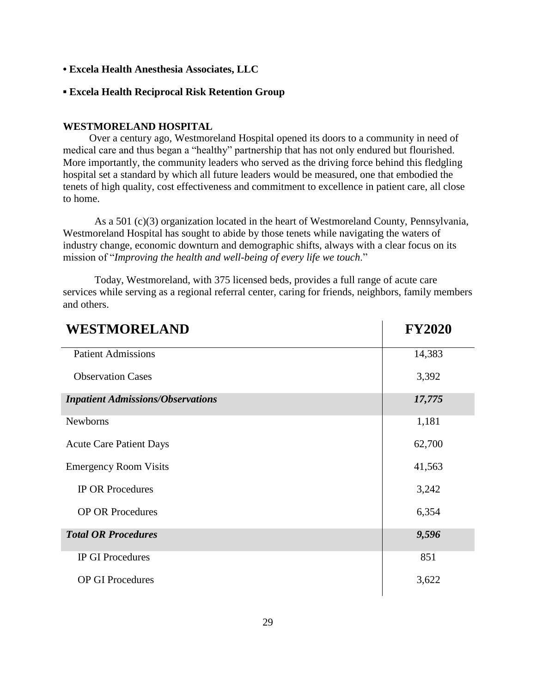- **• Excela Health Anesthesia Associates, LLC**
- **▪ Excela Health Reciprocal Risk Retention Group**

# **WESTMORELAND HOSPITAL**

 Over a century ago, Westmoreland Hospital opened its doors to a community in need of medical care and thus began a "healthy" partnership that has not only endured but flourished. More importantly, the community leaders who served as the driving force behind this fledgling hospital set a standard by which all future leaders would be measured, one that embodied the tenets of high quality, cost effectiveness and commitment to excellence in patient care, all close to home.

As a 501 (c)(3) organization located in the heart of Westmoreland County, Pennsylvania, Westmoreland Hospital has sought to abide by those tenets while navigating the waters of industry change, economic downturn and demographic shifts, always with a clear focus on its mission of "*Improving the health and well-being of every life we touch*."

Today, Westmoreland, with 375 licensed beds, provides a full range of acute care services while serving as a regional referral center, caring for friends, neighbors, family members and others.

| <b>WESTMORELAND</b>                      | <b>FY2020</b> |
|------------------------------------------|---------------|
| <b>Patient Admissions</b>                | 14,383        |
| <b>Observation Cases</b>                 | 3,392         |
| <b>Inpatient Admissions/Observations</b> | 17,775        |
| <b>Newborns</b>                          | 1,181         |
| <b>Acute Care Patient Days</b>           | 62,700        |
| <b>Emergency Room Visits</b>             | 41,563        |
| <b>IP OR Procedures</b>                  | 3,242         |
| <b>OP OR Procedures</b>                  | 6,354         |
| <b>Total OR Procedures</b>               | 9,596         |
| <b>IP GI Procedures</b>                  | 851           |
| <b>OP GI Procedures</b>                  | 3,622         |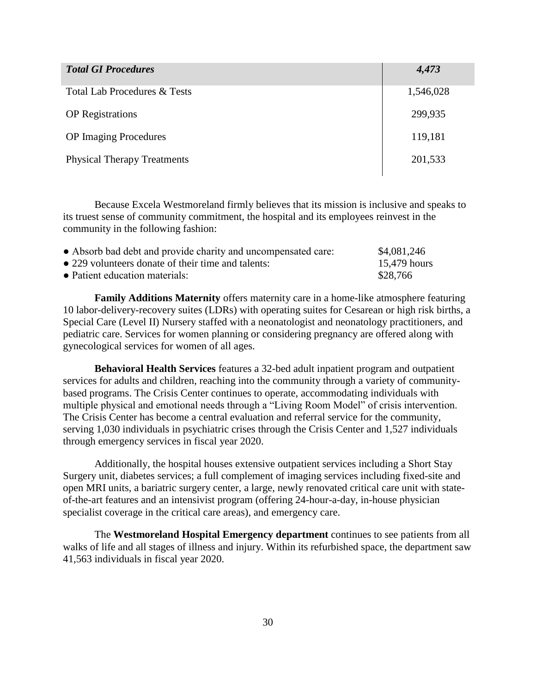| <b>Total GI Procedures</b>         | 4,473     |
|------------------------------------|-----------|
| Total Lab Procedures & Tests       | 1,546,028 |
| <b>OP</b> Registrations            | 299,935   |
| <b>OP</b> Imaging Procedures       | 119,181   |
| <b>Physical Therapy Treatments</b> | 201,533   |

Because Excela Westmoreland firmly believes that its mission is inclusive and speaks to its truest sense of community commitment, the hospital and its employees reinvest in the community in the following fashion:

| • Absorb bad debt and provide charity and uncompensated care: | \$4,081,246  |
|---------------------------------------------------------------|--------------|
| • 229 volunteers donate of their time and talents:            | 15,479 hours |
| • Patient education materials:                                | \$28,766     |

**Family Additions Maternity** offers maternity care in a home-like atmosphere featuring 10 labor-delivery-recovery suites (LDRs) with operating suites for Cesarean or high risk births, a Special Care (Level II) Nursery staffed with a neonatologist and neonatology practitioners, and pediatric care. Services for women planning or considering pregnancy are offered along with gynecological services for women of all ages.

**Behavioral Health Services** features a 32-bed adult inpatient program and outpatient services for adults and children, reaching into the community through a variety of communitybased programs. The Crisis Center continues to operate, accommodating individuals with multiple physical and emotional needs through a "Living Room Model" of crisis intervention. The Crisis Center has become a central evaluation and referral service for the community, serving 1,030 individuals in psychiatric crises through the Crisis Center and 1,527 individuals through emergency services in fiscal year 2020.

Additionally, the hospital houses extensive outpatient services including a Short Stay Surgery unit, diabetes services; a full complement of imaging services including fixed-site and open MRI units, a bariatric surgery center, a large, newly renovated critical care unit with stateof-the-art features and an intensivist program (offering 24-hour-a-day, in-house physician specialist coverage in the critical care areas), and emergency care.

The **Westmoreland Hospital Emergency department** continues to see patients from all walks of life and all stages of illness and injury. Within its refurbished space, the department saw 41,563 individuals in fiscal year 2020.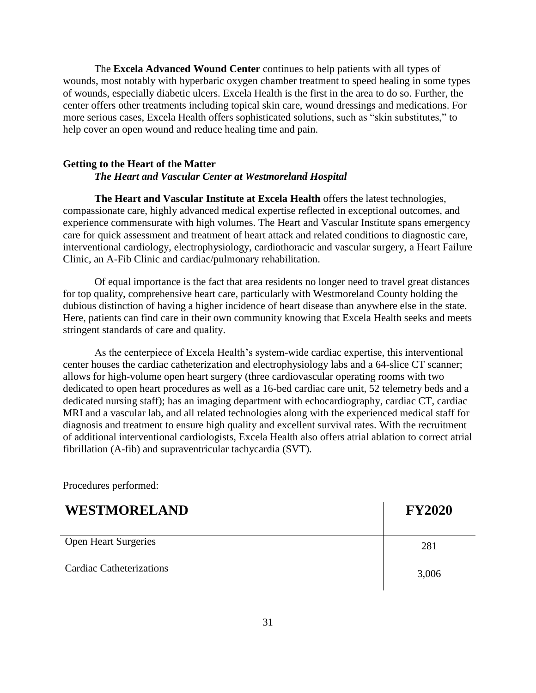The **Excela Advanced Wound Center** continues to help patients with all types of wounds, most notably with hyperbaric oxygen chamber treatment to speed healing in some types of wounds, especially diabetic ulcers. Excela Health is the first in the area to do so. Further, the center offers other treatments including topical skin care, wound dressings and medications. For more serious cases, Excela Health offers sophisticated solutions, such as "skin substitutes," to help cover an open wound and reduce healing time and pain.

# **Getting to the Heart of the Matter** *The Heart and Vascular Center at Westmoreland Hospital*

**The Heart and Vascular Institute at Excela Health** offers the latest technologies, compassionate care, highly advanced medical expertise reflected in exceptional outcomes, and experience commensurate with high volumes. The Heart and Vascular Institute spans emergency care for quick assessment and treatment of heart attack and related conditions to diagnostic care, interventional cardiology, electrophysiology, cardiothoracic and vascular surgery, a Heart Failure Clinic, an A-Fib Clinic and cardiac/pulmonary rehabilitation.

Of equal importance is the fact that area residents no longer need to travel great distances for top quality, comprehensive heart care, particularly with Westmoreland County holding the dubious distinction of having a higher incidence of heart disease than anywhere else in the state. Here, patients can find care in their own community knowing that Excela Health seeks and meets stringent standards of care and quality.

As the centerpiece of Excela Health's system-wide cardiac expertise, this interventional center houses the cardiac catheterization and electrophysiology labs and a 64-slice CT scanner; allows for high-volume open heart surgery (three cardiovascular operating rooms with two dedicated to open heart procedures as well as a 16-bed cardiac care unit, 52 telemetry beds and a dedicated nursing staff); has an imaging department with echocardiography, cardiac CT, cardiac MRI and a vascular lab, and all related technologies along with the experienced medical staff for diagnosis and treatment to ensure high quality and excellent survival rates. With the recruitment of additional interventional cardiologists, Excela Health also offers atrial ablation to correct atrial fibrillation (A-fib) and supraventricular tachycardia (SVT).

Procedures performed:

# **WESTMORELAND FY2020**

Open Heart Surgeries 281 Cardiac Catheterizations 3,006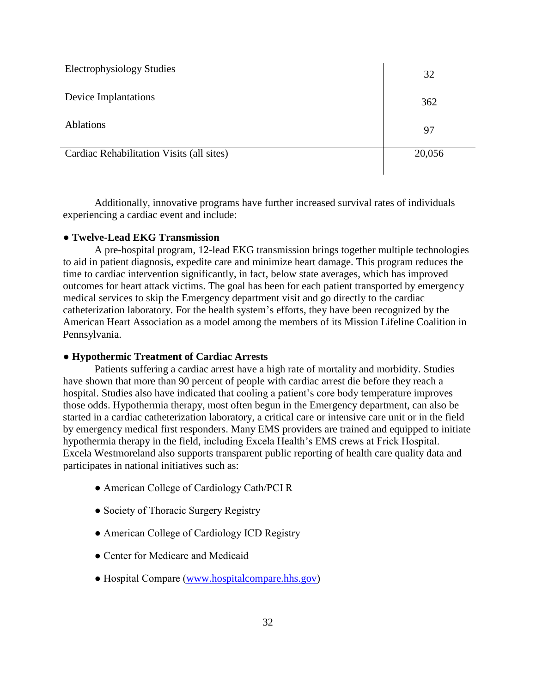| <b>Electrophysiology Studies</b>          | 32     |
|-------------------------------------------|--------|
| Device Implantations                      | 362    |
| <b>Ablations</b>                          | 97     |
| Cardiac Rehabilitation Visits (all sites) | 20,056 |

Additionally, innovative programs have further increased survival rates of individuals experiencing a cardiac event and include:

# ● **Twelve-Lead EKG Transmission**

A pre-hospital program, 12-lead EKG transmission brings together multiple technologies to aid in patient diagnosis, expedite care and minimize heart damage. This program reduces the time to cardiac intervention significantly, in fact, below state averages, which has improved outcomes for heart attack victims. The goal has been for each patient transported by emergency medical services to skip the Emergency department visit and go directly to the cardiac catheterization laboratory. For the health system's efforts, they have been recognized by the American Heart Association as a model among the members of its Mission Lifeline Coalition in Pennsylvania.

# ● **Hypothermic Treatment of Cardiac Arrests**

Patients suffering a cardiac arrest have a high rate of mortality and morbidity. Studies have shown that more than 90 percent of people with cardiac arrest die before they reach a hospital. Studies also have indicated that cooling a patient's core body temperature improves those odds. Hypothermia therapy, most often begun in the Emergency department, can also be started in a cardiac catheterization laboratory, a critical care or intensive care unit or in the field by emergency medical first responders. Many EMS providers are trained and equipped to initiate hypothermia therapy in the field, including Excela Health's EMS crews at Frick Hospital. Excela Westmoreland also supports transparent public reporting of health care quality data and participates in national initiatives such as:

- American College of Cardiology Cath/PCI R
- Society of Thoracic Surgery Registry
- American College of Cardiology ICD Registry
- Center for Medicare and Medicaid
- Hospital Compare [\(www.hospitalcompare.hhs.gov\)](http://www.hospitalcompare.hhs.gov/)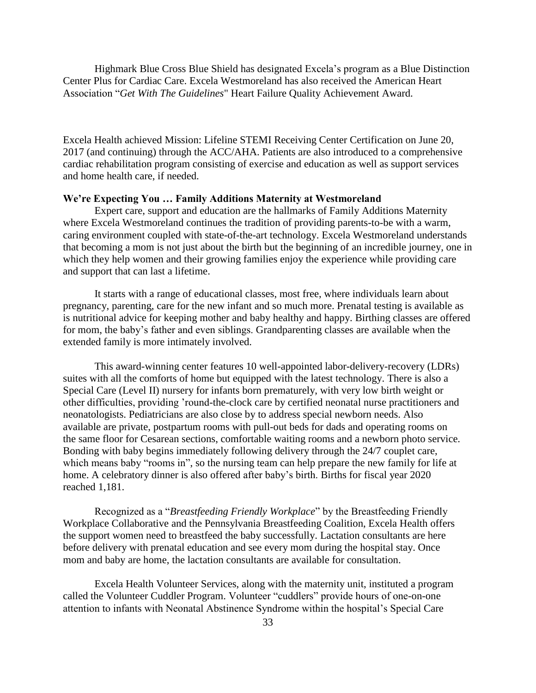Highmark Blue Cross Blue Shield has designated Excela's program as a Blue Distinction Center Plus for Cardiac Care. Excela Westmoreland has also received the American Heart Association "*Get With The Guidelines*" Heart Failure Quality Achievement Award.

Excela Health achieved Mission: Lifeline STEMI Receiving Center Certification on June 20, 2017 (and continuing) through the ACC/AHA. Patients are also introduced to a comprehensive cardiac rehabilitation program consisting of exercise and education as well as support services and home health care, if needed.

# **We're Expecting You … Family Additions Maternity at Westmoreland**

Expert care, support and education are the hallmarks of Family Additions Maternity where Excela Westmoreland continues the tradition of providing parents-to-be with a warm, caring environment coupled with state-of-the-art technology. Excela Westmoreland understands that becoming a mom is not just about the birth but the beginning of an incredible journey, one in which they help women and their growing families enjoy the experience while providing care and support that can last a lifetime.

It starts with a range of educational classes, most free, where individuals learn about pregnancy, parenting, care for the new infant and so much more. Prenatal testing is available as is nutritional advice for keeping mother and baby healthy and happy. Birthing classes are offered for mom, the baby's father and even siblings. Grandparenting classes are available when the extended family is more intimately involved.

This award-winning center features 10 well-appointed labor-delivery-recovery (LDRs) suites with all the comforts of home but equipped with the latest technology. There is also a Special Care (Level II) nursery for infants born prematurely, with very low birth weight or other difficulties, providing 'round-the-clock care by certified neonatal nurse practitioners and neonatologists. Pediatricians are also close by to address special newborn needs. Also available are private, postpartum rooms with pull-out beds for dads and operating rooms on the same floor for Cesarean sections, comfortable waiting rooms and a newborn photo service. Bonding with baby begins immediately following delivery through the 24/7 couplet care, which means baby "rooms in", so the nursing team can help prepare the new family for life at home. A celebratory dinner is also offered after baby's birth. Births for fiscal year 2020 reached 1,181.

 Recognized as a "*Breastfeeding Friendly Workplace*" by the Breastfeeding Friendly Workplace Collaborative and the Pennsylvania Breastfeeding Coalition, Excela Health offers the support women need to breastfeed the baby successfully. Lactation consultants are here before delivery with prenatal education and see every mom during the hospital stay. Once mom and baby are home, the lactation consultants are available for consultation.

Excela Health Volunteer Services, along with the maternity unit, instituted a program called the Volunteer Cuddler Program. Volunteer "cuddlers" provide hours of one-on-one attention to infants with Neonatal Abstinence Syndrome within the hospital's Special Care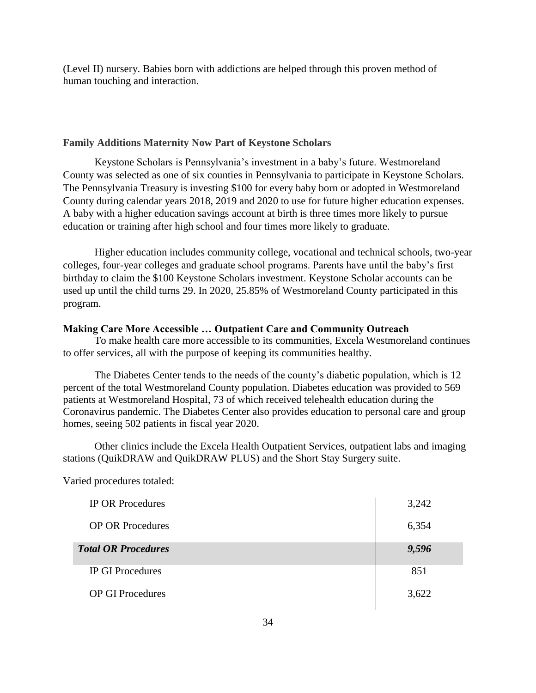(Level II) nursery. Babies born with addictions are helped through this proven method of human touching and interaction.

# **Family Additions Maternity Now Part of Keystone Scholars**

Keystone Scholars is Pennsylvania's investment in a baby's future. Westmoreland County was selected as one of six counties in Pennsylvania to participate in Keystone Scholars. The Pennsylvania Treasury is investing \$100 for every baby born or adopted in Westmoreland County during calendar years 2018, 2019 and 2020 to use for future higher education expenses. A baby with a higher education savings account at birth is three times more likely to pursue education or training after high school and four times more likely to graduate.

Higher education includes community college, vocational and technical schools, two-year colleges, four-year colleges and graduate school programs. Parents have until the baby's first birthday to claim the \$100 Keystone Scholars investment. Keystone Scholar accounts can be used up until the child turns 29. In 2020, 25.85% of Westmoreland County participated in this program.

# **Making Care More Accessible … Outpatient Care and Community Outreach**

To make health care more accessible to its communities, Excela Westmoreland continues to offer services, all with the purpose of keeping its communities healthy.

The Diabetes Center tends to the needs of the county's diabetic population, which is 12 percent of the total Westmoreland County population. Diabetes education was provided to 569 patients at Westmoreland Hospital, 73 of which received telehealth education during the Coronavirus pandemic. The Diabetes Center also provides education to personal care and group homes, seeing 502 patients in fiscal year 2020.

Other clinics include the Excela Health Outpatient Services, outpatient labs and imaging stations (QuikDRAW and QuikDRAW PLUS) and the Short Stay Surgery suite.

Varied procedures totaled:

| <b>IP OR Procedures</b>    | 3,242 |
|----------------------------|-------|
| <b>OP OR Procedures</b>    | 6,354 |
| <b>Total OR Procedures</b> | 9,596 |
| <b>IP GI Procedures</b>    | 851   |
| <b>OP GI Procedures</b>    | 3,622 |
|                            |       |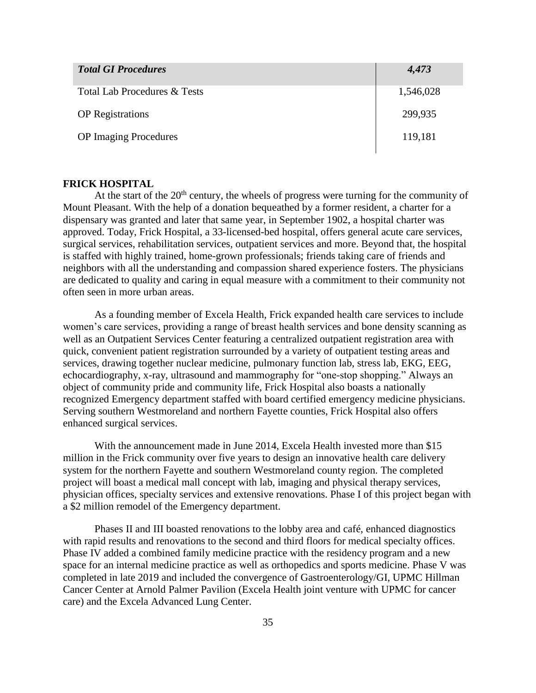| <b>Total GI Procedures</b>   | 4,473     |
|------------------------------|-----------|
| Total Lab Procedures & Tests | 1,546,028 |
| <b>OP</b> Registrations      | 299,935   |
| <b>OP</b> Imaging Procedures | 119,181   |

## **FRICK HOSPITAL**

At the start of the  $20<sup>th</sup>$  century, the wheels of progress were turning for the community of Mount Pleasant. With the help of a donation bequeathed by a former resident, a charter for a dispensary was granted and later that same year, in September 1902, a hospital charter was approved. Today, Frick Hospital, a 33-licensed-bed hospital, offers general acute care services, surgical services, rehabilitation services, outpatient services and more. Beyond that, the hospital is staffed with highly trained, home-grown professionals; friends taking care of friends and neighbors with all the understanding and compassion shared experience fosters. The physicians are dedicated to quality and caring in equal measure with a commitment to their community not often seen in more urban areas.

As a founding member of Excela Health, Frick expanded health care services to include women's care services, providing a range of breast health services and bone density scanning as well as an Outpatient Services Center featuring a centralized outpatient registration area with quick, convenient patient registration surrounded by a variety of outpatient testing areas and services, drawing together nuclear medicine, pulmonary function lab, stress lab, EKG, EEG, echocardiography, x-ray, ultrasound and mammography for "one-stop shopping." Always an object of community pride and community life, Frick Hospital also boasts a nationally recognized Emergency department staffed with board certified emergency medicine physicians. Serving southern Westmoreland and northern Fayette counties, Frick Hospital also offers enhanced surgical services.

With the announcement made in June 2014, Excela Health invested more than \$15 million in the Frick community over five years to design an innovative health care delivery system for the northern Fayette and southern Westmoreland county region. The completed project will boast a medical mall concept with lab, imaging and physical therapy services, physician offices, specialty services and extensive renovations. Phase I of this project began with a \$2 million remodel of the Emergency department.

Phases II and III boasted renovations to the lobby area and café, enhanced diagnostics with rapid results and renovations to the second and third floors for medical specialty offices. Phase IV added a combined family medicine practice with the residency program and a new space for an internal medicine practice as well as orthopedics and sports medicine. Phase V was completed in late 2019 and included the convergence of Gastroenterology/GI, UPMC Hillman Cancer Center at Arnold Palmer Pavilion (Excela Health joint venture with UPMC for cancer care) and the Excela Advanced Lung Center.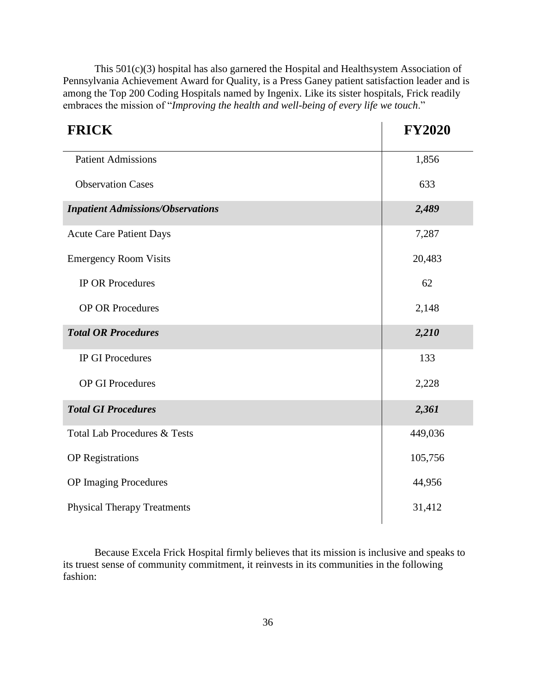This 501(c)(3) hospital has also garnered the Hospital and Healthsystem Association of Pennsylvania Achievement Award for Quality, is a Press Ganey patient satisfaction leader and is among the Top 200 Coding Hospitals named by Ingenix. Like its sister hospitals, Frick readily embraces the mission of "*Improving the health and well-being of every life we touch*."

| <b>FRICK</b>                             | <b>FY2020</b> |
|------------------------------------------|---------------|
| <b>Patient Admissions</b>                | 1,856         |
| <b>Observation Cases</b>                 | 633           |
| <b>Inpatient Admissions/Observations</b> | 2,489         |
| <b>Acute Care Patient Days</b>           | 7,287         |
| <b>Emergency Room Visits</b>             | 20,483        |
| <b>IP OR Procedures</b>                  | 62            |
| <b>OP OR Procedures</b>                  | 2,148         |
| <b>Total OR Procedures</b>               | 2,210         |
| <b>IP GI Procedures</b>                  | 133           |
| <b>OP GI Procedures</b>                  | 2,228         |
| <b>Total GI Procedures</b>               | 2,361         |
| <b>Total Lab Procedures &amp; Tests</b>  | 449,036       |
| <b>OP</b> Registrations                  | 105,756       |
| <b>OP</b> Imaging Procedures             | 44,956        |
| <b>Physical Therapy Treatments</b>       | 31,412        |

Because Excela Frick Hospital firmly believes that its mission is inclusive and speaks to its truest sense of community commitment, it reinvests in its communities in the following fashion: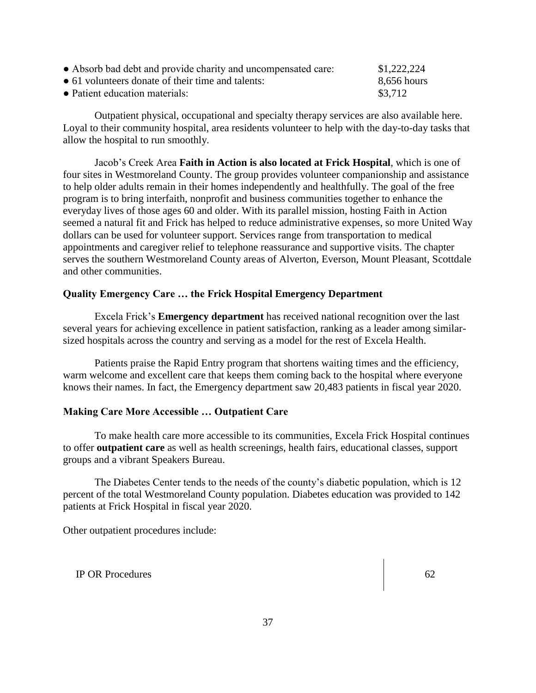| • Absorb bad debt and provide charity and uncompensated care: | \$1,222,224 |
|---------------------------------------------------------------|-------------|
| $\bullet$ 61 volunteers donate of their time and talents:     | 8,656 hours |
| • Patient education materials:                                | \$3.712     |

Outpatient physical, occupational and specialty therapy services are also available here. Loyal to their community hospital, area residents volunteer to help with the day-to-day tasks that allow the hospital to run smoothly.

Jacob's Creek Area **Faith in Action is also located at Frick Hospital**, which is one of four sites in Westmoreland County. The group provides volunteer companionship and assistance to help older adults remain in their homes independently and healthfully. The goal of the free program is to bring interfaith, nonprofit and business communities together to enhance the everyday lives of those ages 60 and older. With its parallel mission, hosting Faith in Action seemed a natural fit and Frick has helped to reduce administrative expenses, so more United Way dollars can be used for volunteer support. Services range from transportation to medical appointments and caregiver relief to telephone reassurance and supportive visits. The chapter serves the southern Westmoreland County areas of Alverton, Everson, Mount Pleasant, Scottdale and other communities.

# **Quality Emergency Care … the Frick Hospital Emergency Department**

Excela Frick's **Emergency department** has received national recognition over the last several years for achieving excellence in patient satisfaction, ranking as a leader among similarsized hospitals across the country and serving as a model for the rest of Excela Health.

Patients praise the Rapid Entry program that shortens waiting times and the efficiency, warm welcome and excellent care that keeps them coming back to the hospital where everyone knows their names. In fact, the Emergency department saw 20,483 patients in fiscal year 2020.

# **Making Care More Accessible … Outpatient Care**

To make health care more accessible to its communities, Excela Frick Hospital continues to offer **outpatient care** as well as health screenings, health fairs, educational classes, support groups and a vibrant Speakers Bureau.

The Diabetes Center tends to the needs of the county's diabetic population, which is 12 percent of the total Westmoreland County population. Diabetes education was provided to 142 patients at Frick Hospital in fiscal year 2020.

Other outpatient procedures include:

IP OR Procedures 62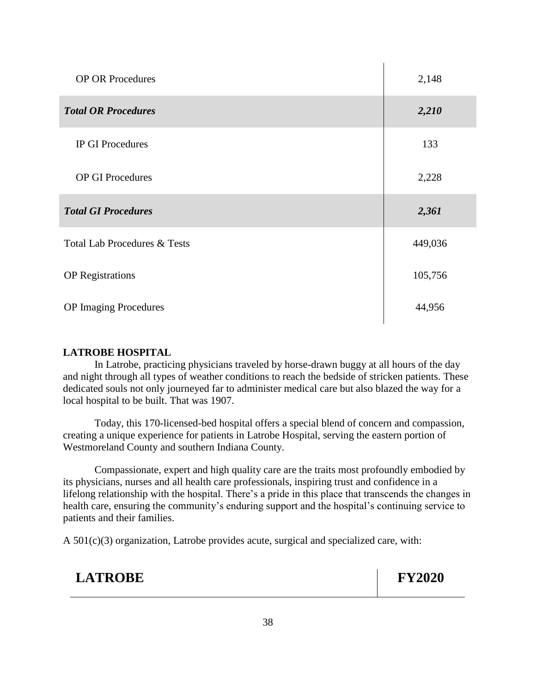| <b>OP OR Procedures</b>                 | 2,148   |
|-----------------------------------------|---------|
| <b>Total OR Procedures</b>              | 2,210   |
| <b>IP GI Procedures</b>                 | 133     |
| <b>OP GI Procedures</b>                 | 2,228   |
| <b>Total GI Procedures</b>              | 2,361   |
|                                         |         |
| <b>Total Lab Procedures &amp; Tests</b> | 449,036 |
| <b>OP</b> Registrations                 | 105,756 |

# **LATROBE HOSPITAL**

In Latrobe, practicing physicians traveled by horse-drawn buggy at all hours of the day and night through all types of weather conditions to reach the bedside of stricken patients. These dedicated souls not only journeyed far to administer medical care but also blazed the way for a local hospital to be built. That was 1907.

Today, this 170-licensed-bed hospital offers a special blend of concern and compassion, creating a unique experience for patients in Latrobe Hospital, serving the eastern portion of Westmoreland County and southern Indiana County.

Compassionate, expert and high quality care are the traits most profoundly embodied by its physicians, nurses and all health care professionals, inspiring trust and confidence in a lifelong relationship with the hospital. There's a pride in this place that transcends the changes in health care, ensuring the community's enduring support and the hospital's continuing service to patients and their families.

A 501(c)(3) organization, Latrobe provides acute, surgical and specialized care, with:

# **LATROBE FY2020**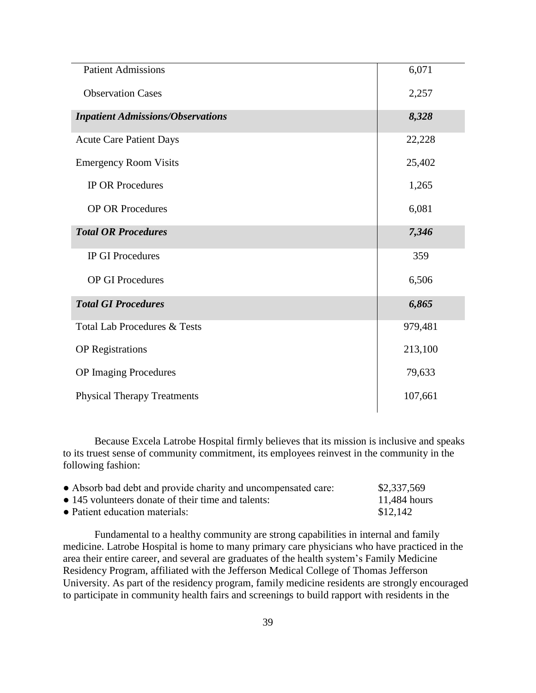| <b>Patient Admissions</b>                | 6,071   |
|------------------------------------------|---------|
| <b>Observation Cases</b>                 | 2,257   |
| <b>Inpatient Admissions/Observations</b> | 8,328   |
| <b>Acute Care Patient Days</b>           | 22,228  |
| <b>Emergency Room Visits</b>             | 25,402  |
| <b>IP OR Procedures</b>                  | 1,265   |
| <b>OP OR Procedures</b>                  | 6,081   |
| <b>Total OR Procedures</b>               | 7,346   |
| <b>IP GI Procedures</b>                  | 359     |
| <b>OP GI Procedures</b>                  | 6,506   |
| <b>Total GI Procedures</b>               | 6,865   |
| <b>Total Lab Procedures &amp; Tests</b>  | 979,481 |
| <b>OP</b> Registrations                  | 213,100 |
| <b>OP</b> Imaging Procedures             | 79,633  |
| <b>Physical Therapy Treatments</b>       | 107,661 |
|                                          |         |

Because Excela Latrobe Hospital firmly believes that its mission is inclusive and speaks to its truest sense of community commitment, its employees reinvest in the community in the following fashion:

| • Absorb bad debt and provide charity and uncompensated care: | \$2,337,569  |
|---------------------------------------------------------------|--------------|
| • 145 volunteers donate of their time and talents:            | 11,484 hours |
| • Patient education materials:                                | \$12.142     |

Fundamental to a healthy community are strong capabilities in internal and family medicine. Latrobe Hospital is home to many primary care physicians who have practiced in the area their entire career, and several are graduates of the health system's Family Medicine Residency Program, affiliated with the Jefferson Medical College of Thomas Jefferson University. As part of the residency program, family medicine residents are strongly encouraged to participate in community health fairs and screenings to build rapport with residents in the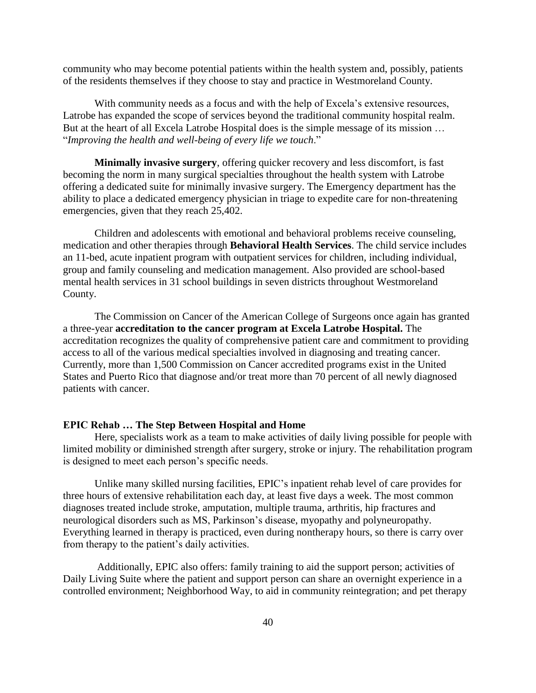community who may become potential patients within the health system and, possibly, patients of the residents themselves if they choose to stay and practice in Westmoreland County.

With community needs as a focus and with the help of Excela's extensive resources, Latrobe has expanded the scope of services beyond the traditional community hospital realm. But at the heart of all Excela Latrobe Hospital does is the simple message of its mission … "*Improving the health and well-being of every life we touch*."

**Minimally invasive surgery**, offering quicker recovery and less discomfort, is fast becoming the norm in many surgical specialties throughout the health system with Latrobe offering a dedicated suite for minimally invasive surgery. The Emergency department has the ability to place a dedicated emergency physician in triage to expedite care for non-threatening emergencies, given that they reach 25,402.

Children and adolescents with emotional and behavioral problems receive counseling, medication and other therapies through **Behavioral Health Services**. The child service includes an 11-bed, acute inpatient program with outpatient services for children, including individual, group and family counseling and medication management. Also provided are school-based mental health services in 31 school buildings in seven districts throughout Westmoreland County.

The Commission on Cancer of the American College of Surgeons once again has granted a three-year **accreditation to the cancer program at Excela Latrobe Hospital.** The accreditation recognizes the quality of comprehensive patient care and commitment to providing access to all of the various medical specialties involved in diagnosing and treating cancer. Currently, more than 1,500 Commission on Cancer accredited programs exist in the United States and Puerto Rico that diagnose and/or treat more than 70 percent of all newly diagnosed patients with cancer.

# **EPIC Rehab … The Step Between Hospital and Home**

Here, specialists work as a team to make activities of daily living possible for people with limited mobility or diminished strength after surgery, stroke or injury. The rehabilitation program is designed to meet each person's specific needs.

Unlike many skilled nursing facilities, EPIC's inpatient rehab level of care provides for three hours of extensive rehabilitation each day, at least five days a week. The most common diagnoses treated include stroke, amputation, multiple trauma, arthritis, hip fractures and neurological disorders such as MS, Parkinson's disease, myopathy and polyneuropathy. Everything learned in therapy is practiced, even during nontherapy hours, so there is carry over from therapy to the patient's daily activities.

Additionally, EPIC also offers: family training to aid the support person; activities of Daily Living Suite where the patient and support person can share an overnight experience in a controlled environment; Neighborhood Way, to aid in community reintegration; and pet therapy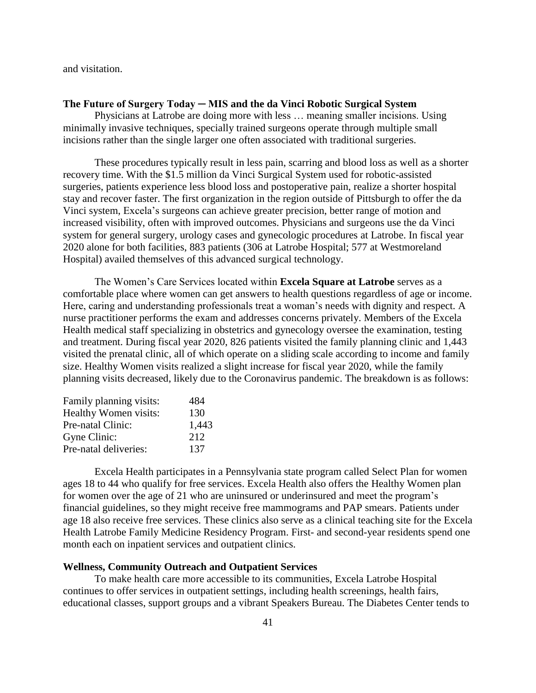and visitation.

## **The Future of Surgery Today ─ MIS and the da Vinci Robotic Surgical System**

Physicians at Latrobe are doing more with less … meaning smaller incisions. Using minimally invasive techniques, specially trained surgeons operate through multiple small incisions rather than the single larger one often associated with traditional surgeries.

These procedures typically result in less pain, scarring and blood loss as well as a shorter recovery time. With the \$1.5 million da Vinci Surgical System used for robotic-assisted surgeries, patients experience less blood loss and postoperative pain, realize a shorter hospital stay and recover faster. The first organization in the region outside of Pittsburgh to offer the da Vinci system, Excela's surgeons can achieve greater precision, better range of motion and increased visibility, often with improved outcomes. Physicians and surgeons use the da Vinci system for general surgery, urology cases and gynecologic procedures at Latrobe. In fiscal year 2020 alone for both facilities, 883 patients (306 at Latrobe Hospital; 577 at Westmoreland Hospital) availed themselves of this advanced surgical technology.

The Women's Care Services located within **Excela Square at Latrobe** serves as a comfortable place where women can get answers to health questions regardless of age or income. Here, caring and understanding professionals treat a woman's needs with dignity and respect. A nurse practitioner performs the exam and addresses concerns privately. Members of the Excela Health medical staff specializing in obstetrics and gynecology oversee the examination, testing and treatment. During fiscal year 2020, 826 patients visited the family planning clinic and 1,443 visited the prenatal clinic, all of which operate on a sliding scale according to income and family size. Healthy Women visits realized a slight increase for fiscal year 2020, while the family planning visits decreased, likely due to the Coronavirus pandemic. The breakdown is as follows:

| Family planning visits: | 484   |
|-------------------------|-------|
| Healthy Women visits:   | 130   |
| Pre-natal Clinic:       | 1,443 |
| Gyne Clinic:            | 2.12  |
| Pre-natal deliveries:   | 137   |

Excela Health participates in a Pennsylvania state program called Select Plan for women ages 18 to 44 who qualify for free services. Excela Health also offers the Healthy Women plan for women over the age of 21 who are uninsured or underinsured and meet the program's financial guidelines, so they might receive free mammograms and PAP smears. Patients under age 18 also receive free services. These clinics also serve as a clinical teaching site for the Excela Health Latrobe Family Medicine Residency Program. First- and second-year residents spend one month each on inpatient services and outpatient clinics.

## **Wellness, Community Outreach and Outpatient Services**

To make health care more accessible to its communities, Excela Latrobe Hospital continues to offer services in outpatient settings, including health screenings, health fairs, educational classes, support groups and a vibrant Speakers Bureau. The Diabetes Center tends to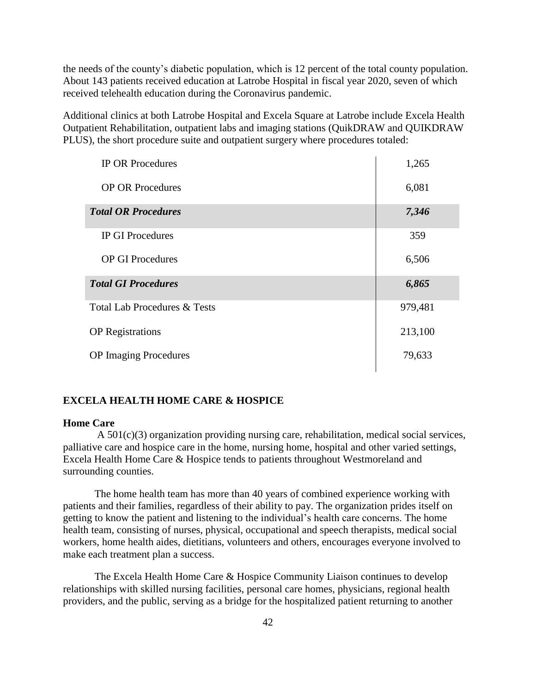the needs of the county's diabetic population, which is 12 percent of the total county population. About 143 patients received education at Latrobe Hospital in fiscal year 2020, seven of which received telehealth education during the Coronavirus pandemic.

Additional clinics at both Latrobe Hospital and Excela Square at Latrobe include Excela Health Outpatient Rehabilitation, outpatient labs and imaging stations (QuikDRAW and QUIKDRAW PLUS), the short procedure suite and outpatient surgery where procedures totaled:

| <b>IP OR Procedures</b>      | 1,265   |
|------------------------------|---------|
| <b>OP OR Procedures</b>      | 6,081   |
| <b>Total OR Procedures</b>   | 7,346   |
| <b>IP GI Procedures</b>      | 359     |
| <b>OP GI Procedures</b>      | 6,506   |
| <b>Total GI Procedures</b>   | 6,865   |
| Total Lab Procedures & Tests | 979,481 |
| <b>OP</b> Registrations      | 213,100 |
| <b>OP</b> Imaging Procedures | 79,633  |

# **EXCELA HEALTH HOME CARE & HOSPICE**

### **Home Care**

 A 501(c)(3) organization providing nursing care, rehabilitation, medical social services, palliative care and hospice care in the home, nursing home, hospital and other varied settings, Excela Health Home Care & Hospice tends to patients throughout Westmoreland and surrounding counties.

The home health team has more than 40 years of combined experience working with patients and their families, regardless of their ability to pay. The organization prides itself on getting to know the patient and listening to the individual's health care concerns. The home health team, consisting of nurses, physical, occupational and speech therapists, medical social workers, home health aides, dietitians, volunteers and others, encourages everyone involved to make each treatment plan a success.

The Excela Health Home Care & Hospice Community Liaison continues to develop relationships with skilled nursing facilities, personal care homes, physicians, regional health providers, and the public, serving as a bridge for the hospitalized patient returning to another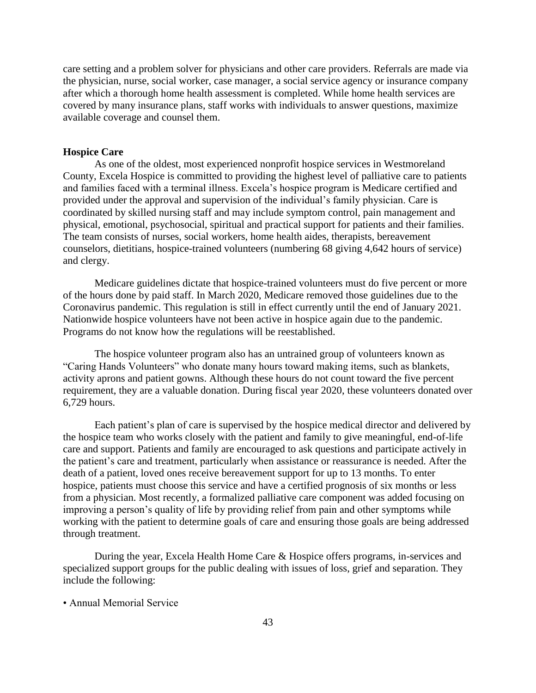care setting and a problem solver for physicians and other care providers. Referrals are made via the physician, nurse, social worker, case manager, a social service agency or insurance company after which a thorough home health assessment is completed. While home health services are covered by many insurance plans, staff works with individuals to answer questions, maximize available coverage and counsel them.

## **Hospice Care**

 As one of the oldest, most experienced nonprofit hospice services in Westmoreland County, Excela Hospice is committed to providing the highest level of palliative care to patients and families faced with a terminal illness. Excela's hospice program is Medicare certified and provided under the approval and supervision of the individual's family physician. Care is coordinated by skilled nursing staff and may include symptom control, pain management and physical, emotional, psychosocial, spiritual and practical support for patients and their families. The team consists of nurses, social workers, home health aides, therapists, bereavement counselors, dietitians, hospice-trained volunteers (numbering 68 giving 4,642 hours of service) and clergy.

Medicare guidelines dictate that hospice-trained volunteers must do five percent or more of the hours done by paid staff. In March 2020, Medicare removed those guidelines due to the Coronavirus pandemic. This regulation is still in effect currently until the end of January 2021. Nationwide hospice volunteers have not been active in hospice again due to the pandemic. Programs do not know how the regulations will be reestablished.

The hospice volunteer program also has an untrained group of volunteers known as "Caring Hands Volunteers" who donate many hours toward making items, such as blankets, activity aprons and patient gowns. Although these hours do not count toward the five percent requirement, they are a valuable donation. During fiscal year 2020, these volunteers donated over 6,729 hours.

Each patient's plan of care is supervised by the hospice medical director and delivered by the hospice team who works closely with the patient and family to give meaningful, end-of-life care and support. Patients and family are encouraged to ask questions and participate actively in the patient's care and treatment, particularly when assistance or reassurance is needed. After the death of a patient, loved ones receive bereavement support for up to 13 months. To enter hospice, patients must choose this service and have a certified prognosis of six months or less from a physician. Most recently, a formalized palliative care component was added focusing on improving a person's quality of life by providing relief from pain and other symptoms while working with the patient to determine goals of care and ensuring those goals are being addressed through treatment.

During the year, Excela Health Home Care & Hospice offers programs, in-services and specialized support groups for the public dealing with issues of loss, grief and separation. They include the following:

• Annual Memorial Service